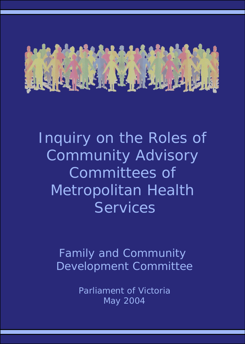

Inquiry on the Roles of Community Advisory Committees of Metropolitan Health **Services** 

*Family and Community Development Committee*

> *Parliament of Victoria May 2004*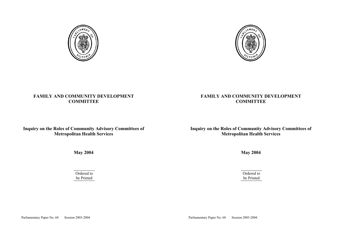

## **FAMILY AND COMMUNITY DEVELOPMENT COMMITTEE**

## **Inquiry on the Roles of Community Advisory Committees of Metropolitan Health Services**

**May 2004** 

Ordered to be Printed

Parliamentary Paper No. 68 Session 2003-2004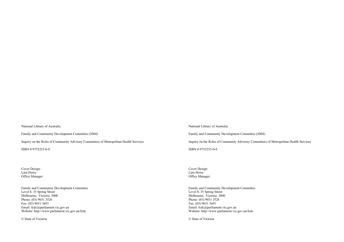National Library of Australia

Family and Community Development Committee (2004)

Inquiry on the Roles of Community Advisory Committees of Metropolitan Health Services

ISBN 0-9752253-0-8

Cover Design: Lara Howe Office Manager

Family and Community Development Committee Level 8, 35 Spring Street Melbourne, Victoria 3000 Phone: (03) 9651 3526 Fax: (03) 9651 3691 Email: fcdc@parliament.vic.gov.au Website: http://www.parliament.vic.gov.au/fcdc

© State of Victoria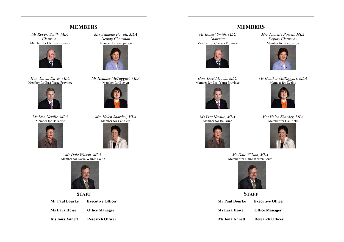## **MEMBERS**

*Mr Robert Smith, MLC Chairman* Member for Chelsea Province



*Hon. David Davis, MLC*  Member for East Yarra Province



*Ms Lisa Neville, MLA*  Member for Bellarine



*Mrs Jeanette Powell, MLA Deputy Chairman*  Member for Shepparton



*Ms Heather McTaggart, MLA*  Member for Evelyn



*Mrs Helen Shardey, MLA* Member for Caulfield



*Mr Dale Wilson, MLA* Member for Narre Warren South



## **STAFF**

**Mr Paul Bourke Executive Officer Ms Lara Howe Office Manager** 

**Ms Iona Annett Research Officer**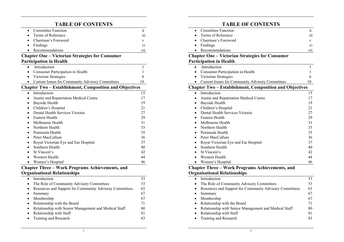# **TABLE OF CONTENTS**

| <b>Committee Function</b><br>$\bullet$                         | 11           |  |  |
|----------------------------------------------------------------|--------------|--|--|
| Terms of Reference                                             | 111          |  |  |
| Chairman's Foreword                                            | V            |  |  |
| Findings                                                       | V1           |  |  |
| Recommendations                                                | vii          |  |  |
| <b>Chapter One – Victorian Strategies for Consumer</b>         |              |  |  |
| <b>Participation in Health</b>                                 |              |  |  |
| Introduction                                                   | $\mathbf{1}$ |  |  |
| Consumer Participation in Health                               | 1            |  |  |
| Victorian Strategies                                           | 6            |  |  |
| <b>Current Issues for Community Advisory Committees</b>        | 10           |  |  |
| <b>Chapter Two - Establishment, Composition and Objectives</b> |              |  |  |
| Introduction<br>$\bullet$                                      | 15           |  |  |
| <b>Austin and Repatriation Medical Centre</b>                  | 17           |  |  |
| Bayside Health<br>$\bullet$                                    | 19           |  |  |
| Children's Hospital                                            | 21           |  |  |
| Dental Health Services Victoria                                | 27           |  |  |
| Eastern Health                                                 | 29           |  |  |
| Melbourne Health                                               | 31           |  |  |
| Northern Health                                                | 33           |  |  |
| Peninsula Health                                               | 35           |  |  |
| Peter MacCallum                                                | 36           |  |  |
| Royal Victorian Eye and Ear Hospital                           | 37           |  |  |
| Southern Health                                                | 40           |  |  |
| St Vincent's                                                   | 42           |  |  |
| Western Health                                                 | 44           |  |  |
| Women's Hospital                                               | 46           |  |  |

## **Chapter Three – Work Programs Achievements, and Organisational Relationships**

|           | Introduction                                            | 53 |
|-----------|---------------------------------------------------------|----|
|           | The Role of Community Advisory Committees               | 53 |
| $\bullet$ | Resources and Support for Community Advisory Committees | 63 |
|           | Summary                                                 | 67 |
|           | Membership                                              | 67 |
| $\bullet$ | Relationship with the Board                             | 71 |
|           | Relationship with Senior Management and Medical Staff   | 80 |
|           | Relationship with Staff                                 | 81 |
|           | Training and Research                                   | 83 |
|           |                                                         |    |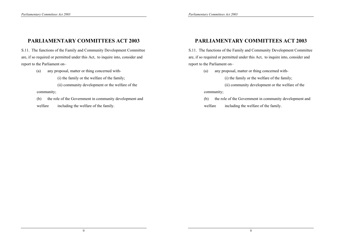# **PARLIAMENTARY COMMITTEES ACT 2003**

S.11. The functions of the Family and Community Development Committee are, if so required or permitted under this Act, to inquire into, consider and report to the Parliament on–

(a) any proposal, matter or thing concerned with-

(i) the family or the welfare of the family;

(ii) community development or the welfare of the

community;

 (b) the role of the Government in community development and welfare including the welfare of the family.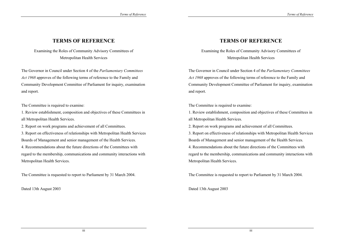## **TERMS OF REFERENCE**

## Examining the Roles of Community Advisory Committees of Metropolitan Health Services

The Governor in Council under Section 4 of the *Parliamentary Committees Act 1968* approves of the following terms of reference to the Family and Community Development Committee of Parliament for inquiry, examination and report.

The Committee is required to examine:

1. Review establishment, composition and objectives of these Committees in all Metropolitan Health Services.

2. Report on work programs and achievement of all Committees.

3. Report on effectiveness of relationships with Metropolitan Health Services Boards of Management and senior management of the Health Services. 4. Recommendations about the future directions of the Committees with regard to the membership, communications and community interactions with

Metropolitan Health Services.

The Committee is requested to report to Parliament by 31 March 2004.

Dated 13th August 2003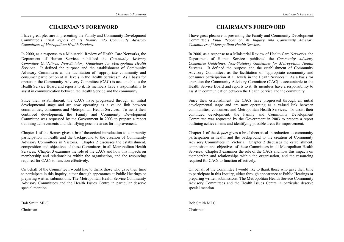## **CHAIRMAN'S FOREWORD**

I have great pleasure in presenting the Family and Community Development Committee's *Final Report* on its *Inquiry into Community Advisory Committees of Metropolitan Health Services.* 

In 2000, as a response to a Ministerial Review of Health Care Networks, the Department of Human Services published the *Community Advisory Committee Guidelines: Non-Statutory Guidelines for Metropolitan Health Services*. It defined the purpose and the establishment of Community Advisory Committees as the facilitation of "appropriate community and consumer participation at all levels in the Health Services." As a basis for operation the Community Advisory Committee (CAC) is accountable to the Health Service Board and reports to it. Its members have a responsibility to assist in communication between the Health Service and the community.

Since their establishment, the CACs have progressed through an initial developmental stage and are now operating as a valued link between communities, consumers and Metropolitan Health Services. To assist their continued development, the Family and Community Development Committee was requested by the Government in 2003 to prepare a report outlining achievements and identifying possible areas for improvement.

Chapter 1 of the *Report* gives a brief theoretical introduction to community participation in health and the background to the creation of Community Advisory Committees in Victoria. Chapter 2 discusses the establishment, composition and objectives of these Committees in all Metropolitan Health Services. Chapter 3 examines the role of the CACs and how this impacts on membership and relationships within the organisation, and the resourcing required for CACs to function effectively.

On behalf of the Committee I would like to thank those who gave their time to participate in this Inquiry, either through appearance at Public Hearings or preparing written submissions. The Metropolitan Health Service Community Advisory Committees and the Health Issues Centre in particular deserve special mention.

Bob Smith MLC Chairman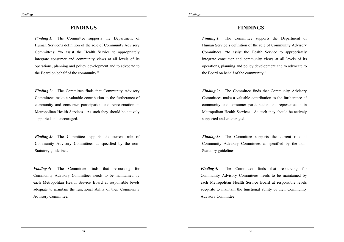## **FINDINGS**

*Finding 1:* The Committee supports the Department of Human Service's definition of the role of Community Advisory Committees: "to assist the Health Service to appropriately integrate consumer and community views at all levels of its operations, planning and policy development and to advocate to the Board on behalf of the community."

*Finding 2:* The Committee finds that Community Advisory Committees make a valuable contribution to the furtherance of community and consumer participation and representation in Metropolitan Health Services. As such they should be actively supported and encouraged.

*Finding 3:* The Committee supports the current role of Community Advisory Committees as specified by the non-Statutory guidelines.

*Finding 4:* The Committee finds that resourcing for Community Advisory Committees needs to be maintained by each Metropolitan Health Service Board at responsible levels adequate to maintain the functional ability of their Community Advisory Committee.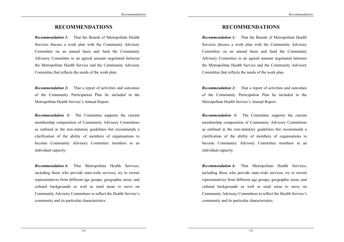## **RECOMMENDATIONS**

*Recommendation 1:* That the Boards of Metropolitan Health Services discuss a work plan with the Community Advisory Committee on an annual basis and fund the Community Advisory Committee to an agreed amount negotiated between the Metropolitan Health Service and the Community Advisory Committee that reflects the needs of the work plan.

*Recommendation 2:* That a report of activities and outcomes of the Community Participation Plan be included in the Metropolitan Health Service's Annual Report.

*Recommendation 3:* The Committee supports the current membership composition of Community Advisory Committees as outlined in the non-statutory guidelines but recommends a clarification of the ability of members of organisations to become Community Advisory Committee members in an individual capacity.

*Recommendation 4:* That Metropolitan Health Services, including those who provide state-wide services, try to recruit representatives from different age groups, geographic areas, and cultural backgrounds as well as rural areas to serve on Community Advisory Committees to reflect the Health Service's community and its particular characteristics.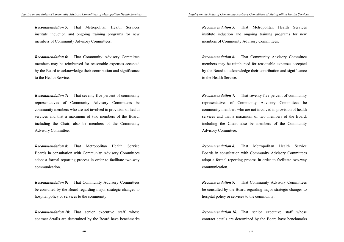*Recommendation 5:* That Metropolitan Health Services institute induction and ongoing training programs for new members of Community Advisory Committees.

*Recommendation 6:* That Community Advisory Committee members may be reimbursed for reasonable expenses accepted by the Board to acknowledge their contribution and significance to the Health Service.

*Recommendation 7:* That seventy-five percent of community representatives of Community Advisory Committees be community members who are not involved in provision of health services and that a maximum of two members of the Board, including the Chair, also be members of the Community Advisory Committee.

*Recommendation 8:* That Metropolitan Health Service Boards in consultation with Community Advisory Committees adopt a formal reporting process in order to facilitate two-way communication.

*Recommendation 9:* That Community Advisory Committees be consulted by the Board regarding major strategic changes to hospital policy or services to the community.

*Recommendation 10:* That senior executive staff whose contract details are determined by the Board have benchmarks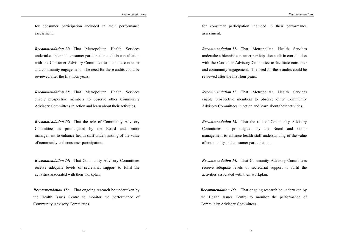for consumer participation included in their performance assessment.

*Recommendation 11:* That Metropolitan Health Services undertake a biennial consumer participation audit in consultation with the Consumer Advisory Committee to facilitate consumer and community engagement. The need for these audits could be reviewed after the first four years.

*Recommendation 12:* That Metropolitan Health Services enable prospective members to observe other Community Advisory Committees in action and learn about their activities.

*Recommendation 13:* That the role of Community Advisory Committees is promulgated by the Board and senior management to enhance health staff understanding of the value of community and consumer participation.

*Recommendation 14:* That Community Advisory Committees receive adequate levels of secretariat support to fulfil the activities associated with their workplan.

*Recommendation 15:* That ongoing research be undertaken by the Health Issues Centre to monitor the performance of Community Advisory Committees.

ix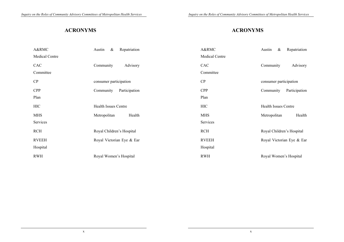# **ACRONYMS**

| A&RMC                 | Austin<br>$\&$<br>Repatriation |  |
|-----------------------|--------------------------------|--|
| <b>Medical Centre</b> |                                |  |
| <b>CAC</b>            | Community<br>Advisory          |  |
| Committee             |                                |  |
| CP                    | consumer participation         |  |
| <b>CPP</b>            | Community<br>Participation     |  |
| Plan                  |                                |  |
| <b>HIC</b>            | <b>Health Issues Centre</b>    |  |
| <b>MHS</b>            | Health<br>Metropolitan         |  |
| Services              |                                |  |
| <b>RCH</b>            | Royal Children's Hospital      |  |
| <b>RVEEH</b>          | Royal Victorian Eye & Ear      |  |
| Hospital              |                                |  |
| <b>RWH</b>            | Royal Women's Hospital         |  |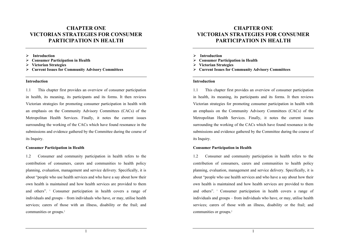## **CHAPTER ONE VICTORIAN STRATEGIES FOR CONSUMER PARTICIPATION IN HEALTH**

- ¾ **Introduction**
- ¾ **Consumer Participation in Health**
- ¾ **Victorian Strategies**
- ¾ **Current Issues for Community Advisory Committees**

#### **Introduction**

1.1 This chapter first provides an overview of consumer participation in health, its meaning, its participants and its forms. It then reviews Victorian strategies for promoting consumer participation in health with an emphasis on the Community Advisory Committees (CACs) of the Metropolitan Health Services. Finally, it notes the current issues surrounding the working of the CACs which have found resonance in the submissions and evidence gathered by the Committee during the course of its Inquiry.

#### **Consumer Participation in Health**

1.2 Consumer and community participation in health refers to the contribution of consumers, carers and communities to health policy planning, evaluation, management and service delivery. Specifically, it is about "people who use health services and who have a say about how their own health is maintained and how health services are provided to them and others". <sup>1</sup> Consumer participation in health covers a range of individuals and groups – from individuals who have, or may, utilise health services; carers of those with an illness, disability or the frail; and communities or groups.<sup>2</sup>

1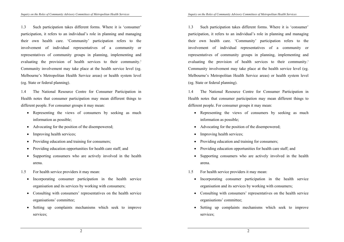1.3 Such participation takes different forms. Where it is 'consumer' participation, it refers to an individual's role in planning and managing their own health care. 'Community' participation refers to the involvement of individual representatives of a community or representatives of community groups in planning, implementing and evaluating the provision of health services to their community.<sup>3</sup> Community involvement may take place at the health service level (eg. Melbourne's Metropolitan Health Service areas) or health system level (eg. State or federal planning).

1.4 The National Resource Centre for Consumer Participation in Health notes that consumer participation may mean different things to different people. For consumer groups it may mean:

- Representing the views of consumers by seeking as much information as possible;
- Advocating for the position of the disempowered;
- Improving health services;
- Providing education and training for consumers;
- Providing education opportunities for health care staff; and
- Supporting consumers who are actively involved in the health arena.
- 1.5 For health service providers it may mean:
	- Incorporating consumer participation in the health service organisation and its services by working with consumers;
	- Consulting with consumers' representatives on the health service organisations' committee;
	- Setting up complaints mechanisms which seek to improve services;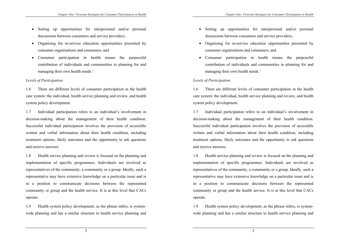- Setting up opportunities for interpersonal and/or personal discussions between consumers and service providers;
- Organising for in-service education opportunities presented by consumer organisations and consumers; and
- Consumer participation in health means the purposeful contribution of individuals and communities in planning for and managing their own health needs.<sup>4</sup>

### *Levels of Participation*

1.6 There are different levels of consumer participation in the health care system: the individual, health service planning and review, and health system policy development.

1.7 Individual participation refers to an individual's involvement in decision-making about the management of their health condition. Successful individual participation involves the provision of accessible written and verbal information about their health condition, including treatment options, likely outcomes and the opportunity to ask questions and receive answers.

1.8 Health service planning and review is focused on the planning and implementation of specific programmes. Individuals are involved as representatives of the community, a community or a group. Ideally, such a representative may have extensive knowledge on a particular issue and is in a position to communicate decisions between the represented community or group and the health service. It is at this level that CACs operate.

1.9 Health system policy development, as the phrase infers, is systemwide planning and has a similar structure to health service planning and

3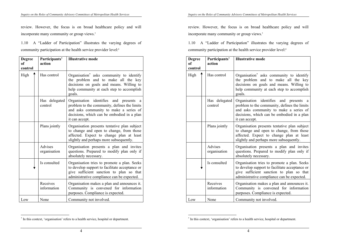review. However, the focus is on broad healthcare policy and will incorporate many community or group views.<sup>5</sup>

1.10 A "Ladder of Participation" illustrates the varying degrees of community participation at the health service provider level:<sup>6</sup>

| <b>Degree</b><br><sub>of</sub><br>control | Participants'<br>action  | <b>Illustrative mode</b>                                                                                                                                                                                          |
|-------------------------------------------|--------------------------|-------------------------------------------------------------------------------------------------------------------------------------------------------------------------------------------------------------------|
| High                                      | Has control              | Organisation <sup>*</sup> asks community to identify<br>the problem and to make all the key<br>decisions on goals and means. Willing to<br>help community at each step to accomplish<br>goals.                    |
|                                           | Has delegated<br>control | Organisation identifies and<br>presents<br><sub>a</sub><br>problem to the community, defines the limits<br>and asks community to make a series of<br>decisions, which can be embodied in a plan<br>it can accept. |
|                                           | Plans jointly            | Organisation presents tentative plan subject<br>to change and open to change, from those<br>affected. Expect to change plan at least<br>slightly and perhaps more subsequently.                                   |
|                                           | Advises<br>organisation  | Organisation presents a plan and invites<br>questions. Prepared to modify plan only if<br>absolutely necessary.                                                                                                   |
|                                           | Is consulted             | Organisation tries to promote a plan. Seeks<br>to develop support to facilitate acceptance or<br>give sufficient sanction to plan so that<br>administrative compliance can be expected.                           |
|                                           | Receives<br>information  | Organisation makes a plan and announces it.<br>Community is convened for information<br>purposes. Compliance is expected.                                                                                         |
| Low                                       | None                     | Community not involved.                                                                                                                                                                                           |

 $\overline{a}$ 

<sup>∗</sup> In this context, 'organisation' refers to a health service, hospital or department.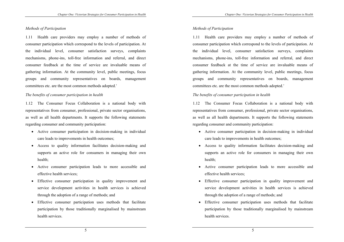### *Methods of Participation*

1.11 Health care providers may employ a number of methods of consumer participation which correspond to the levels of participation. At the individual level, consumer satisfaction surveys, complaints mechanisms, phone-ins, toll-free information and referral, and direct consumer feedback at the time of service are invaluable means of gathering information. At the community level, public meetings, focus groups and community representatives on boards, management committees etc. are the most common methods adopted.<sup>7</sup>

### *The benefits of consumer participation in health*

1.12 The Consumer Focus Collaboration is a national body with representatives from consumer, professional, private sector organisations, as well as all health departments. It supports the following statements regarding consumer and community participation:

- Active consumer participation in decision-making in individual care leads to improvements in health outcomes;
- Access to quality information facilitates decision-making and supports an active role for consumers in managing their own health;
- Active consumer participation leads to more accessible and effective health services;
- Effective consumer participation in quality improvement and service development activities in health services is achieved through the adoption of a range of methods; and
- Effective consumer participation uses methods that facilitate participation by those traditionally marginalised by mainstream health services.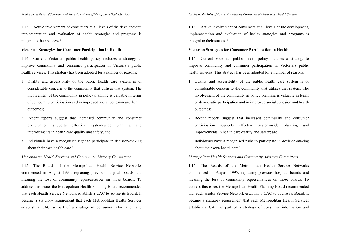1.13 Active involvement of consumers at all levels of the development, implementation and evaluation of health strategies and programs is integral to their success.<sup>8</sup>

### **Victorian Strategies for Consumer Participation in Health**

1.14 Current Victorian public health policy includes a strategy to improve community and consumer participation in Victoria's public health services. This strategy has been adopted for a number of reasons:

- 1. Quality and accessibility of the public health care system is of considerable concern to the community that utilises that system. The involvement of the community in policy planning is valuable in terms of democratic participation and in improved social cohesion and health outcomes;
- 2. Recent reports suggest that increased community and consumer participation supports effective system-wide planning and improvements in health care quality and safety; and
- 3. Individuals have a recognised right to participate in decision-making about their own health care.<sup>9</sup>

### *Metropolitan Health Services and Community Advisory Committees*

1.15 The Boards of the Metropolitan Health Service Networks commenced in August 1995, replacing previous hospital boards and meaning the loss of community representatives on those boards. To address this issue, the Metropolitan Health Planning Board recommended that each Health Service Network establish a CAC to advise its Board. It became a statutory requirement that each Metropolitan Health Services establish a CAC as part of a strategy of consumer information and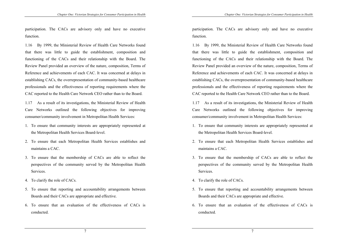participation. The CACs are advisory only and have no executive function.

1.16 By 1999, the Ministerial Review of Health Care Networks found that there was little to guide the establishment, composition and functioning of the CACs and their relationship with the Board. The Review Panel provided an overview of the nature, composition, Terms of Reference and achievements of each CAC. It was concerned at delays in establishing CACs, the overrepresentation of community-based healthcare professionals and the effectiveness of reporting requirements where the CAC reported to the Health Care Network CEO rather than to the Board.

1.17 As a result of its investigations, the Ministerial Review of Health Care Networks outlined the following objectives for improving consumer/community involvement in Metropolitan Health Services:

- 1. To ensure that community interests are appropriately represented at the Metropolitan Health Services Board-level.
- 2. To ensure that each Metropolitan Health Services establishes and maintains a CAC.
- 3. To ensure that the membership of CACs are able to reflect the perspectives of the community served by the Metropolitan Health Services.
- 4. To clarify the role of CACs.
- 5. To ensure that reporting and accountability arrangements between Boards and their CACs are appropriate and effective.
- 6. To ensure that an evaluation of the effectiveness of CACs is conducted.

7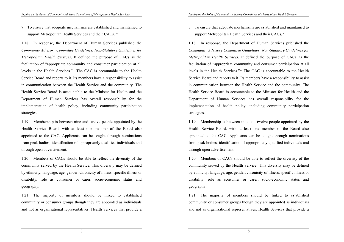7. To ensure that adequate mechanisms are established and maintained to support Metropolitan Health Services and their CACs.<sup>10</sup>

1.18 In response, the Department of Human Services published the *Community Advisory Committee Guidelines: Non-Statutory Guidelines for Metropolitan Health Services*. It defined the purpose of CACs as the facilitation of "appropriate community and consumer participation at all levels in the Health Services."11 The CAC is accountable to the Health Service Board and reports to it. Its members have a responsibility to assist in communication between the Health Service and the community. The Health Service Board is accountable to the Minister for Health and the Department of Human Services has overall responsibility for the implementation of health policy, including community participation strategies.

1.19 Membership is between nine and twelve people appointed by the Health Service Board, with at least one member of the Board also appointed to the CAC. Applicants can be sought through nominations from peak bodies, identification of appropriately qualified individuals and through open advertisement.

1.20 Members of CACs should be able to reflect the diversity of the community served by the Health Service. This diversity may be defined by ethnicity, language, age, gender, chronicity of illness, specific illness or disability, role as consumer or carer, socio-economic status and geography.

1.21 The majority of members should be linked to established community or consumer groups though they are appointed as individuals and not as organisational representatives. Health Services that provide a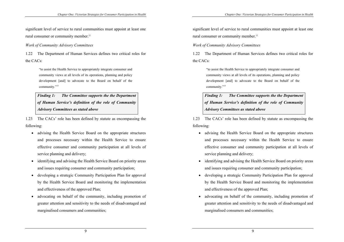significant level of service to rural communities must appoint at least one rural consumer or community member.<sup>12</sup>

*Work of Community Advisory Committees* 

1.22 The Department of Human Services defines two critical roles for the CACs:

> "to assist the Health Service to appropriately integrate consumer and community views at all levels of its operations, planning and policy development [and] to advocate to the Board on behalf of the community."<sup>13</sup>

*Finding 1: The Committee supports the the Department of Human Service's definition of the role of Community Advisory Committees as stated above* 

1.23 The CACs' role has been defined by statute as encompassing the following:

- advising the Health Service Board on the appropriate structures and processes necessary within the Health Service to ensure effective consumer and community participation at all levels of service planning and delivery;
- identifying and advising the Health Service Board on priority areas and issues requiring consumer and community participation;
- developing a strategic Community Participation Plan for approval by the Health Service Board and monitoring the implementation and effectiveness of the approved Plan;
- advocating on behalf of the community, including promotion of greater attention and sensitivity to the needs of disadvantaged and marginalised consumers and communities;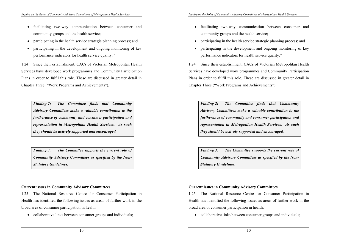- facilitating two-way communication between consumer and community groups and the health service;
- participating in the health service strategic planning process; and
- participating in the development and ongoing monitoring of key performance indicators for health service quality.14

1.24 Since their establishment, CACs of Victorian Metropolitan Health Services have developed work programmes and Community Participation Plans in order to fulfil this role. These are discussed in greater detail in Chapter Three ("Work Programs and Achievements").

*Finding 2: The Committee finds that Community Advisory Committees make a valuable contribution to the furtherance of community and consumer participation and representation in Metropolitan Health Services. As such they should be actively supported and encouraged.* 

*Finding 3: The Committee supports the current role of Community Advisory Committees as specified by the Non-Statutory Guidelines.* 

## **Current issues in Community Advisory Committees**

1.25 The National Resource Centre for Consumer Participation in Health has identified the following issues as areas of further work in the broad area of consumer participation in health:

• collaborative links between consumer groups and individuals;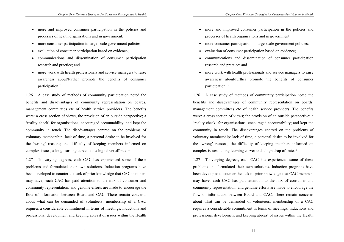- more and improved consumer participation in the policies and processes of health organisations and in government;
- more consumer participation in large-scale government policies;
- evaluation of consumer participation based on evidence;
- communications and dissemination of consumer participation research and practice; and
- more work with health professionals and service managers to raise awareness about/further promote the benefits of consumer participation.<sup>15</sup>

1.26 A case study of methods of community participation noted the benefits and disadvantages of community representation on boards, management committees etc of health service providers. The benefits were: a cross section of views; the provision of an outside perspective; a 'reality check' for organisations; encouraged accountability; and kept the community in touch. The disadvantages centred on the problems of voluntary membership: lack of time, a personal desire to be involved for the 'wrong' reasons; the difficulty of keeping members informed on complex issues; a long learning curve; and a high drop off rate.16

1.27 To varying degrees, each CAC has experienced some of these problems and formulated their own solutions. Induction programs have been developed to counter the lack of prior knowledge that CAC members may have; each CAC has paid attention to the mix of consumer and community representation; and genuine efforts are made to encourage the flow of information between Board and CAC. There remain concerns about what can be demanded of volunteers: membership of a CAC requires a considerable commitment in terms of meetings, inductions and professional development and keeping abreast of issues within the Health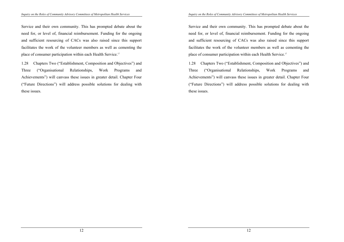Service and their own community. This has prompted debate about the need for, or level of, financial reimbursement. Funding for the ongoing and sufficient resourcing of CACs was also raised since this support facilitates the work of the volunteer members as well as cementing the place of consumer participation within each Health Service.17

1.28 Chapters Two ("Establishment, Composition and Objectives") and Three ("Organisational Relationships, Work Programs and Achievements") will canvass these issues in greater detail. Chapter Four ("Future Directions") will address possible solutions for dealing with these issues.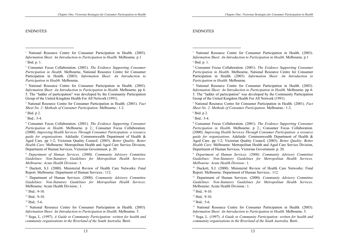### ENDNOTES

 $\overline{a}$ 

4 National Resource Centre for Consumer Participation in Health. (2003). *Information Sheet: An Introduction to Participation in Health*. Melbourne. pp 4- 5. The "ladder of participation" was developed by the Community Participation Group of the United Kingdom Health For All Network (1991).

5 National Resource Centre for Consumer Participation in Health. (2001). *Fact Sheet No. 2: Methods of Consumer Participation*. Melbourne.: 1-2.

 $6$  Ibid. p 2.

 $<sup>7</sup>$  Ibid.: 3-4.</sup>

8 Consumer Focus Collaboration. (2001). *The Evidence Supporting Consumer Participation in Health*. Melbourne. p 2.; Consumer Focus Collaboration. (2000). *Improving Health Services Through Consumer Participation: a resource guide for organisations*. Adelaide: Commonwealth Department of Health & Aged Care. pp 1-2; Victorian Quality Council. (2003). *Better Quality, Better Health Care*. Melbourne: Metropolitan Health and Aged Care Service Division, Department of Human Services, Victorian Government. p. 20.

9  *Department of Human Services. (2000). Community Advisory Committee Guidelines: Non-Statutory Guidelines for Metropolitan Health Services. Melbourne: Acute Health Division.*: 1.

<sup>10</sup> Duckett, S.J. (2000). Ministerial Review of Health Care Networks: Final Report. Melbourne: Department of Human Services.: 112.

11 Department of Human Services. (2000). *Community Advisory Committee Guidelines: Non-Statutory Guidelines for Metropolitan Health Services*. Melbourne: Acute Health Division.: 1.

 $13$  Ibid.: 9-10.

 $14$  Ibid.: 5-6.

<sup>15</sup> National Resource Centre for Consumer Participation in Health. (2003). *Information Sheet: An Introduction to Participation in Health*. Melbourne. 5.

16 Sega, L. (1997). *A Guide to Community Participation: written for health and community organisations in the Riverland of the South Australia.* Berri.

<sup>&</sup>lt;sup>1</sup> National Resource Centre for Consumer Participation in Health. (2003). *Information Sheet: An Introduction to Participation in Health*. Melbourne. p 1

<sup>2</sup> Ibid. p. 1.

<sup>3</sup> Consumer Focus Collaboration. (2001). *The Evidence Supporting Consumer Participation in Health*. Melbourne, National Resource Centre for Consumer Participation in Health. (2003). *Information Sheet: An Introduction to Participation in Health*. Melbourne.

 $12$  Ibid.: 9-10.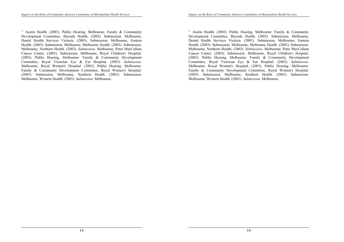<sup>17</sup> Austin Health. (2003). Public Hearing. Melbourne: Family & Community Development Committee, Bayside Health. (2003). Submission. Melbourne, Dental Health Services Victoria. (2003). Submission. Melbourne, Eastern Health. (2003). Submission. Melbourne, Melbourne Health. (2003). Submission. Melbourne, Northern Health. (2003). *Submission*. Melbourne, Peter MacCallum Cancer Centre. (2003). Submission. Melbourne, Royal Children's Hospital. (2003). Public Hearing. Melbourne: Family & Community Development Committee, Royal Victorian Eye & Ear Hospital. (2003). *Submission*. Melbourne, Royal Women's Hospital. (2003). Public Hearing. Melbourne: Family & Community Development Committee, Royal Women's Hospital. (2003). Submission. Melbourne, Southern Health. (2003). Submission. Melbourne, Western Health. (2003). *Submission*. Melbourne.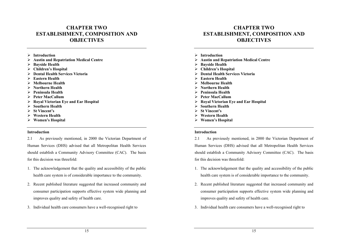## **CHAPTER TWO ESTABLISHMENT, COMPOSITION AND OBJECTIVES**

- ¾ **Introduction**
- ¾ **Austin and Repatriation Medical Centre**
- ¾ **Bayside Health**
- ¾ **Children's Hospital**
- ¾ **Dental Health Services Victoria**
- ¾ **Eastern Health**
- ¾ **Melbourne Health**
- ¾ **Northern Health**
- ¾ **Peninsula Health**
- ¾ **Peter MacCallum**
- ¾ **Royal Victorian Eye and Ear Hospital**
- ¾ **Southern Health**
- ¾ **St Vincent's**
- ¾ **Western Health**
- ¾ **Women's Hospital**

#### **Introduction**

2.1 As previously mentioned, in 2000 the Victorian Department of Human Services (DHS) advised that all Metropolitan Health Services should establish a Community Advisory Committee (CAC). The basis for this decision was threefold:

- 1. The acknowledgement that the quality and accessibility of the public health care system is of considerable importance to the community.
- 2. Recent published literature suggested that increased community and consumer participation supports effective system wide planning and improves quality and safety of health care.
- 3. Individual health care consumers have a well-recognised right to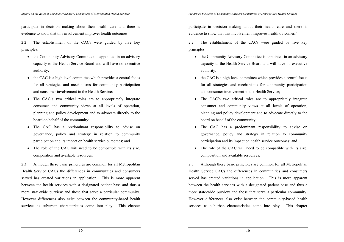participate in decision making about their health care and there is evidence to show that this involvement improves health outcomes.<sup>1</sup>

2.2 The establishment of the CACs were guided by five key principles:

- the Community Advisory Committee is appointed in an advisory capacity to the Health Service Board and will have no executive authority;
- the CAC is a high level committee which provides a central focus for all strategies and mechanisms for community participation and consumer involvement in the Health Service;
- The CAC's two critical roles are to appropriately integrate consumer and community views at all levels of operation, planning and policy development and to advocate directly to the board on behalf of the community;
- The CAC has a predominant responsibility to advise on governance, policy and strategy in relation to community participation and its impact on health service outcomes; and
- The role of the CAC will need to be compatible with its size, composition and available resources.

2.3 Although these basic principles are common for all Metropolitan Health Service CACs the differences in communities and consumers served has created variations in application. This is more apparent between the health services with a designated patient base and thus a more state-wide purview and those that serve a particular community. However differences also exist between the community-based health services as suburban characteristics come into play. This chapter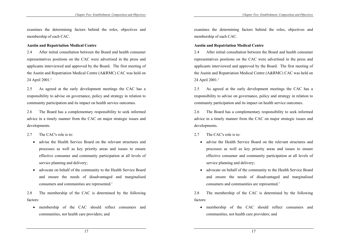examines the determining factors behind the roles, objectives and membership of each CAC.

### **Austin and Repatriation Medical Centre**

2.4 After initial consultation between the Board and health consumer representatives positions on the CAC were advertised in the press and applicants interviewed and approved by the Board. The first meeting of the Austin and Repatriation Medical Centre (A&RMC) CAC was held on 24 April 2001.<sup>2</sup>

2.5 As agreed at the early development meetings the CAC has a responsibility to advise on governance, policy and strategy in relation to community participation and its impact on health service outcomes.

2.6 The Board has a complementary responsibility to seek informed advice in a timely manner from the CAC on major strategic issues and developments.

### 2.7 The CAC's role is to:

- advise the Health Service Board on the relevant structures and processes as well as key priority areas and issues to ensure effective consumer and community participation at all levels of service planning and delivery;
- advocate on behalf of the community to the Health Service Board and ensure the needs of disadvantaged and marginalised consumers and communities are represented.3

2.8 The membership of the CAC is determined by the following factors:

• membership of the CAC should reflect consumers and communities, not health care providers; and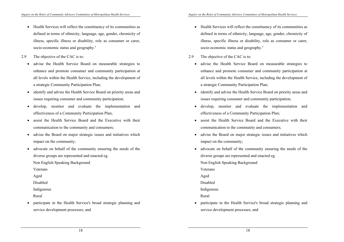- Health Services will reflect the constituency of its communities as defined in terms of ethnicity, language, age, gender, chronicity of illness, specific illness or disability, role as consumer or carer, socio-economic status and geography.<sup>4</sup>
- 2.9 The objective of the CAC is to:
	- advise the Health Service Board on measurable strategies to enhance and promote consumer and community participation at all levels within the Health Service, including the development of a strategic Community Participation Plan;
	- identify and advise the Health Service Board on priority areas and issues requiring consumer and community participation;
	- develop, monitor and evaluate the implementation and effectiveness of a Community Participation Plan;
	- assist the Health Service Board and the Executive with their communication to the community and consumers;
	- advise the Board on major strategic issues and initiatives which impact on the community;
	- advocate on behalf of the community ensuring the needs of the diverse groups are represented and enacted eg.

Non English Speaking Background

Veterans

Aged

Disabled

Indigenous

Rural

• participate in the Health Service's broad strategic planning and service development processes; and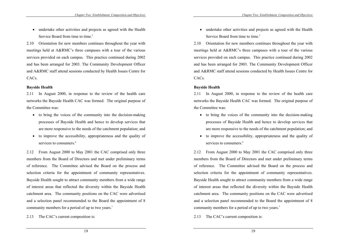• undertake other activities and projects as agreed with the Health Service Board from time to time.<sup>5</sup>

2.10 Orientation for new members continues throughout the year with meetings held at A&RMC's three campuses with a tour of the various services provided on each campus. This practice continued during 2002 and has been arranged for 2003. The Community Development Officer and A&RMC staff attend sessions conducted by Health Issues Centre for CACs.

## **Bayside Health**

2.11 In August 2000, in response to the review of the health care networks the Bayside Health CAC was formed. The original purpose of the Committee was:

- to bring the voices of the community into the decision-making processes of Bayside Health and hence to develop services that are more responsive to the needs of the catchment population; and
- to improve the accessibility, appropriateness and the quality of services to consumers.<sup>6</sup>

2.12 From August 2000 to May 2001 the CAC comprised only three members from the Board of Directors and met under preliminary terms of reference. The Committee advised the Board on the process and selection criteria for the appointment of community representatives. Bayside Health sought to attract community members from a wide range of interest areas that reflected the diversity within the Bayside Health catchment area. The community positions on the CAC were advertised and a selection panel recommended to the Board the appointment of 8 community members for a period of up to two years.<sup>7</sup>

2.13 The CAC's current composition is: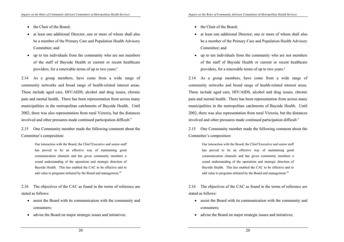- the Chair of the Board;
- at least one additional Director, one or more of whom shall also be a member of the Primary Care and Population Health Advisory Committee; and
- up to ten individuals from the community who are not members of the staff of Bayside Health or current or recent healthcare providers, for a renewable terms of up to two years.<sup>8</sup>

2.14 As a group members, have come from a wide range of community networks and broad range of health-related interest areas. These include aged care, HIV/AIDS, alcohol and drug issues, chronic pain and mental health. There has been representation from across many municipalities in the metropolitan catchments of Bayside Health. Until 2002, there was also representation from rural Victoria, but the distances involved and other pressures made continued participation difficult.<sup>9</sup>

2.15 One Community member made the following comment about the Committee's composition:

> Our interaction with the Board, the Chief Executive and senior staff has proved to be an effective way of maintaining good communication channels and has given community members a sound understanding of the operations and strategic direction of Bayside Health. This has enabled the CAC to be effective and to add value to programs initiated by the Board and management.<sup>10</sup>

2.16 The objectives of the CAC as found in the terms of reference are stated as follows:

- assist the Board with its communication with the community and consumers;
- advise the Board on major strategic issues and initiatives;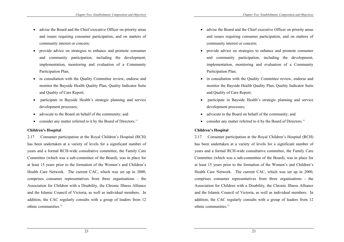- advise the Board and the Chief executive Officer on priority areas and issues requiring consumer participation, and on matters of community interest or concern;
- provide advice on strategies to enhance and promote consumer and community participation, including the development, implementation, monitoring and evaluation of a Community Participation Plan;
- in consultation with the Quality Committee review, endorse and monitor the Bayside Health Quality Plan, Quality Indicator Suite and Quality of Care Report;
- participate in Bayside Health's strategic planning and service development processes;
- advocate to the Board on behalf of the community; and
- consider any matter referred to it by the Board of Directors.<sup>11</sup>

## **Children's Hospital**

2.17 Consumer participation at the Royal Children's Hospital (RCH) has been undertaken at a variety of levels for a significant number of years and a formal RCH-wide consultative committee, the Family Care Committee (which was a sub-committee of the Board), was in place for at least 15 years prior to the formation of the Women's and Children's Health Care Network. The current CAC, which was set up in 2000, comprises consumer representatives from three organisations - the Association for Children with a Disability, the Chronic Illness Alliance and the Islamic Council of Victoria, as well as individual members. In addition, the CAC regularly consults with a group of leaders from 12 ethnic communities.12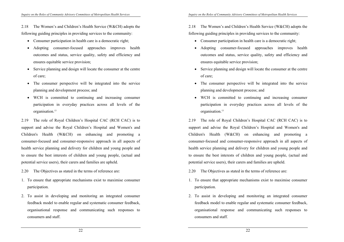2.18 The Women's and Children's Health Service (W&CH) adopts the following guiding principles in providing services to the community:

- Consumer participation in health care is a democratic right;
- Adopting consumer-focused approaches improves health outcomes and status, service quality, safety and efficiency and ensures equitable service provision;
- Service planning and design will locate the consumer at the centre of care;
- The consumer perspective will be integrated into the service planning and development process; and
- WCH is committed to continuing and increasing consumer participation in everyday practices across all levels of the organisation.<sup>13</sup>

2.19 The role of Royal Children's Hospital CAC (RCH CAC) is to support and advise the Royal Children's Hospital and Women's and Children's Health (W&CH) on enhancing and promoting a consumer-focused and consumer-responsive approach in all aspects of health service planning and delivery for children and young people and to ensure the best interests of children and young people, (actual and potential service users), their carers and families are upheld.

2.20 The Objectives as stated in the terms of reference are:

- 1. To ensure that appropriate mechanisms exist to maximise consumer participation.
- 2. To assist in developing and monitoring an integrated consumer feedback model to enable regular and systematic consumer feedback, organisational response and communicating such responses to consumers and staff.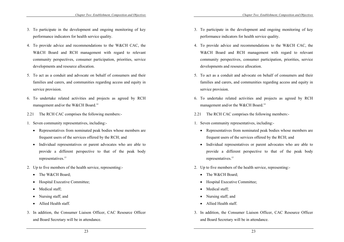- 3. To participate in the development and ongoing monitoring of key performance indicators for health service quality.
- 4. To provide advice and recommendations to the W&CH CAC, the W&CH Board and RCH management with regard to relevant community perspectives, consumer participation, priorities, service developments and resource allocation.
- 5. To act as a conduit and advocate on behalf of consumers and their families and carers, and communities regarding access and equity in service provision.
- 6. To undertake related activities and projects as agreed by RCH management and/or the W&CH Board.<sup>14</sup>
- 2.21 The RCH CAC comprises the following members:-
- 1. Seven community representatives, including:-
	- Representatives from nominated peak bodies whose members are frequent users of the services offered by the RCH; and
	- Individual representatives or parent advocates who are able to provide a different perspective to that of the peak body representatives.<sup>15</sup>
- 2. Up to five members of the health service, representing:-
	- The W&CH Board;
	- Hospital Executive Committee;
	- Medical staff;
	- Nursing staff; and
	- Allied Health staff.
- 3. In addition, the Consumer Liaison Officer, CAC Resource Officer and Board Secretary will be in attendance.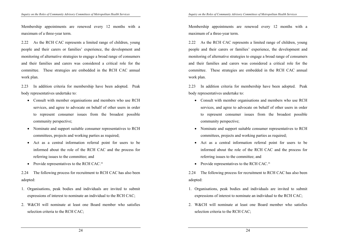Membership appointments are renewed every 12 months with a maximum of a three-year term.

2.22 As the RCH CAC represents a limited range of children, young people and their carers or families' experience, the development and monitoring of alternative strategies to engage a broad range of consumers and their families and carers was considered a critical role for the committee. These strategies are embedded in the RCH CAC annual work plan.

2.23 In addition criteria for membership have been adopted. Peak body representatives undertake to:

- Consult with member organisations and members who use RCH services, and agree to advocate on behalf of other users in order to represent consumer issues from the broadest possible community perspective;
- Nominate and support suitable consumer representatives to RCH committees, projects and working parties as required;
- Act as a central information referral point for users to be informed about the role of the RCH CAC and the process for referring issues to the committee; and
- Provide representatives to the RCH CAC.<sup>16</sup>

2.24 The following process for recruitment to RCH CAC has also been adopted:

- 1. Organisations, peak bodies and individuals are invited to submit expressions of interest to nominate an individual to the RCH CAC;
- 2. W&CH will nominate at least one Board member who satisfies selection criteria to the RCH CAC;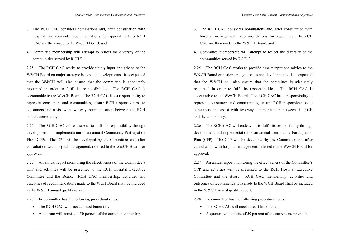- 3. The RCH CAC considers nominations and, after consultation with hospital management, recommendations for appointment to RCH CAC are then made to the W&CH Board; and
- 4. Committee membership will attempt to reflect the diversity of the communities served by RCH.<sup>17</sup>

2.25 The RCH CAC works to provide timely input and advice to the W&CH Board on major strategic issues and developments. It is expected that the W&CH will also ensure that the committee is adequately resourced in order to fulfil its responsibilities. The RCH CAC is accountable to the W&CH Board. The RCH CAC has a responsibility to represent consumers and communities, ensure RCH responsiveness to consumers and assist with two-way communication between the RCH and the community.

2.26 The RCH CAC will endeavour to fulfil its responsibility through development and implementation of an annual Community Participation Plan (CPP). The CPP will be developed by the Committee and, after consultation with hospital management, referred to the W&CH Board for approval.

2.27 An annual report monitoring the effectiveness of the Committee's CPP and activities will be presented to the RCH Hospital Executive Committee and the Board. RCH CAC membership, activities and outcomes of recommendations made to the WCH Board shall be included in the W&CH annual quality report.

2.28 The committee has the following procedural rules:

- The RCH CAC will meet at least bimonthly;
- A quorum will consist of 50 percent of the current membership;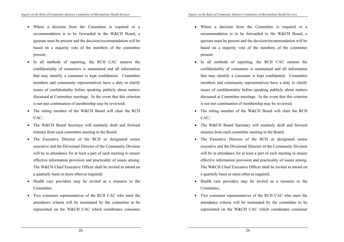- Where a decision from the Committee is required or a recommendation is to be forwarded to the W&CH Board, a quorum must be present and the decision/recommendation will be based on a majority vote of the members of the committee present;
- In all methods of reporting, the RCH CAC ensures the confidentiality of consumers is maintained and all information that may identify a consumer is kept confidential. Committee members and community representatives have a duty to clarify issues of confidentiality before speaking publicly about matters discussed at Committee meetings. In the event that this criterion is not met continuation of membership may be reviewed;
- The sitting member of the W&CH Board will chair the RCH CAC;
- The W&CH Board Secretary will routinely draft and forward minutes from each committee meeting to the Board;
- The Executive Director of the RCH or designated senior executive and the Divisional Director of the Community Division will be in attendance for at least a part of each meeting to ensure effective information provision and practicality of issues arising. The W&CH Chief Executive Officer shall be invited to attend on a quarterly basis or more often as required;
- Health care providers may be invited as a resource to the Committee;
- Two consumer representatives of the RCH CAC who meet the attendance criteria will be nominated by the committee to be represented on the W&CH CAC which coordinates consumer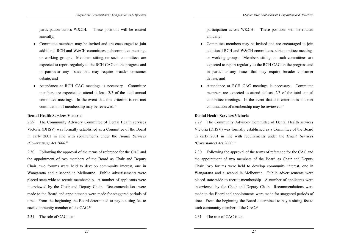participation across W&CH. These positions will be rotated annually;

- Committee members may be invited and are encouraged to join additional RCH and W&CH committees, subcommittee meetings or working groups. Members sitting on such committees are expected to report regularly to the RCH CAC on the progress and in particular any issues that may require broader consumer debate; and
- Attendance at RCH CAC meetings is necessary. Committee members are expected to attend at least 2/3 of the total annual committee meetings. In the event that this criterion is not met continuation of membership may be reviewed.<sup>18</sup>

### **Dental Health Services Victoria**

2.29 The Community Advisory Committee of Dental Health services Victoria (DHSV) was formally established as a Committee of the Board in early 2001 in line with requirements under the *Health Services (Governance) Act 2000*. 19

2.30 Following the approval of the terms of reference for the CAC and the appointment of two members of the Board as Chair and Deputy Chair, two forums were held to develop community interest, one in Wangaratta and a second in Melbourne. Public advertisements were placed state-wide to recruit membership. A number of applicants were interviewed by the Chair and Deputy Chair. Recommendations were made to the Board and appointments were made for staggered periods of time. From the beginning the Board determined to pay a sitting fee to each community member of the CAC.<sup>20</sup>

2.31 The role of CAC is to: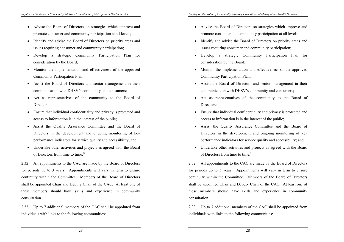- Advise the Board of Directors on strategies which improve and promote consumer and community participation at all levels;
- Identify and advise the Board of Directors on priority areas and issues requiring consumer and community participation;
- Develop a strategic Community Participation Plan for consideration by the Board;
- Monitor the implementation and effectiveness of the approved Community Participation Plan;
- Assist the Board of Directors and senior management in their communication with DHSV's community and consumers;
- Act as representatives of the community to the Board of Directors;
- Ensure that individual confidentiality and privacy is protected and access to information is in the interest of the public;
- Assist the Quality Assurance Committee and the Board of Directors in the development and ongoing monitoring of key performance indicators for service quality and accessibility; and
- Undertake other activities and projects as agreed with the Board of Directors from time to time.<sup>21</sup>

2.32 All appointments to the CAC are made by the Board of Directors for periods up to 3 years. Appointments will vary in term to ensure continuity within the Committee. Members of the Board of Directors shall be appointed Chair and Deputy Chair of the CAC. At least one of these members should have skills and experience in community consultation.

2.33 Up to 7 additional members of the CAC shall be appointed from individuals with links to the following communities: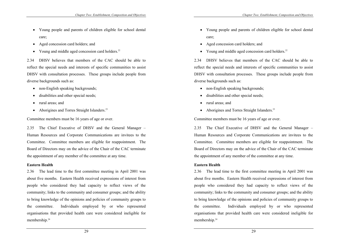- Young people and parents of children eligible for school dental care;
- Aged concession card holders; and
- Young and middle aged concession card holders.<sup>22</sup>

2.34 DHSV believes that members of the CAC should be able to reflect the special needs and interests of specific communities to assist DHSV with consultation processes. These groups include people from diverse backgrounds such as:

- non-English speaking backgrounds;
- disabilities and other special needs;
- rural areas; and
- Aborigines and Torres Straight Islanders.<sup>23</sup>

Committee members must be 16 years of age or over.

2.35 The Chief Executive of DHSV and the General Manager – Human Resources and Corporate Communications are invitees to the Committee. Committee members are eligible for reappointment. The Board of Directors may on the advice of the Chair of the CAC terminate the appointment of any member of the committee at any time.

# **Eastern Health**

2.36 The lead time to the first committee meeting in April 2001 was about five months. Eastern Health received expressions of interest from people who considered they had capacity to reflect views of the community; links to the community and consumer groups; and the ability to bring knowledge of the opinions and policies of community groups to the committee. Individuals employed by or who represented organisations that provided health care were considered ineligible for membership.<sup>24</sup>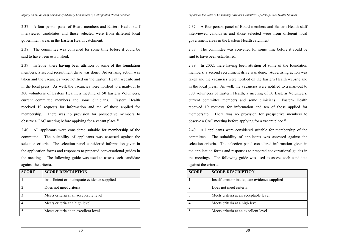2.37 A four-person panel of Board members and Eastern Health staff interviewed candidates and those selected were from different local government areas in the Eastern Health catchment.

2.38 The committee was convened for some time before it could be said to have been established.

2.39 In 2002, there having been attrition of some of the foundation members, a second recruitment drive was done. Advertising action was taken and the vacancies were notified on the Eastern Health website and in the local press. As well, the vacancies were notified to a mail-out to 300 volunteers of Eastern Health, a meeting of 50 Eastern Volunteers, current committee members and some clinicians. Eastern Health received 19 requests for information and ten of those applied for membership. There was no provision for prospective members to observe a CAC meeting before applying for a vacant place.<sup>25</sup>

2.40 All applicants were considered suitable for membership of the committee. The suitability of applicants was assessed against the selection criteria. The selection panel considered information given in the application forms and responses to prepared conversational guides in the meetings. The following guide was used to assess each candidate against the criteria.

| <b>SCORE</b> | <b>SCORE DESCRIPTION</b>                     |
|--------------|----------------------------------------------|
|              | Insufficient or inadequate evidence supplied |
|              | Does not meet criteria                       |
|              | Meets criteria at an acceptable level        |
|              | Meets criteria at a high level               |
|              | Meets criteria at an excellent level         |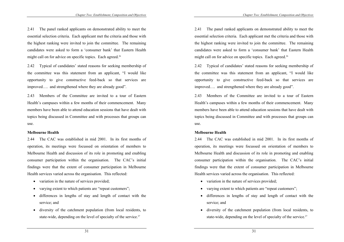2.41 The panel ranked applicants on demonstrated ability to meet the essential selection criteria. Each applicant met the criteria and those with the highest ranking were invited to join the committee. The remaining candidates were asked to form a 'consumer bank' that Eastern Health might call on for advice on specific topics. Each agreed.<sup>26</sup>

2.42 Typical of candidates' stated reasons for seeking membership of the committee was this statement from an applicant, "I would like opportunity to give constructive feed-back so that services are improved…. and strengthened where they are already good".

2.43 Members of the Committee are invited to a tour of Eastern Health's campuses within a few months of their commencement. Many members have been able to attend education sessions that have dealt with topics being discussed in Committee and with processes that groups can use.

#### **Melbourne Health**

2.44 The CAC was established in mid 2001. In its first months of operation, its meetings were focussed on orientation of members to Melbourne Health and discussion of its role in promoting and enabling consumer participation within the organisation. The CAC's initial findings were that the extent of consumer participation in Melbourne Health services varied across the organisation. This reflected:

- variation in the nature of services provided;
- varying extent to which patients are "repeat customers";
- differences in lengths of stay and length of contact with the service; and
- diversity of the catchment population (from local residents, to state-wide, depending on the level of specialty of the service.<sup>27</sup>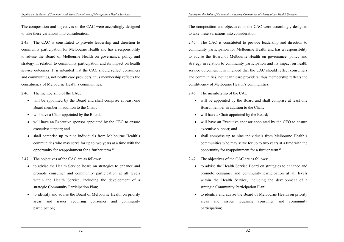The composition and objectives of the CAC were accordingly designed to take these variations into consideration.

2.45 The CAC is constituted to provide leadership and direction to community participation for Melbourne Health and has a responsibility to advise the Board of Melbourne Health on governance, policy and strategy in relation to community participation and its impact on health service outcomes. It is intended that the CAC should reflect consumers and communities, not health care providers, thus membership reflects the constituency of Melbourne Health's communities.

2.46 The membership of the CAC:

- will be appointed by the Board and shall comprise at least one Board member in addition to the Chair;
- will have a Chair appointed by the Board;
- will have an Executive sponsor appointed by the CEO to ensure executive support; and
- shall comprise up to nine individuals from Melbourne Health's communities who may serve for up to two years at a time with the opportunity for reappointment for a further term.28
- 2.47 The objectives of the CAC are as follows:
	- to advise the Health Service Board on strategies to enhance and promote consumer and community participation at all levels within the Health Service, including the development of a strategic Community Participation Plan;
	- to identify and advise the Board of Melbourne Health on priority areas and issues requiring consumer and community participation;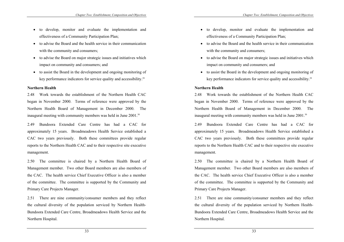- to develop, monitor and evaluate the implementation and effectiveness of a Community Participation Plan;
- to advise the Board and the health service in their communication with the community and consumers;
- to advise the Board on major strategic issues and initiatives which impact on community and consumers; and
- to assist the Board in the development and ongoing monitoring of key performance indicators for service quality and accessibility.<sup>29</sup>

### **Northern Health**

2.48 Work towards the establishment of the Northern Health CAC began in November 2000. Terms of reference were approved by the Northern Health Board of Management in December 2000. The inaugural meeting with community members was held in June 2001.<sup>30</sup>

2.49 Bundoora Extended Care Centre has had a CAC for approximately 15 years. Broadmeadows Health Service established a CAC two years previously. Both these committees provide regular reports to the Northern Health CAC and to their respective site executive management.

2.50 The committee is chaired by a Northern Health Board of Management member. Two other Board members are also members of the CAC. The health service Chief Executive Officer is also a member of the committee. The committee is supported by the Community and Primary Care Projects Manager.

2.51 There are nine community/consumer members and they reflect the cultural diversity of the population serviced by Northern Health-Bundoora Extended Care Centre, Broadmeadows Health Service and the Northern Hospital.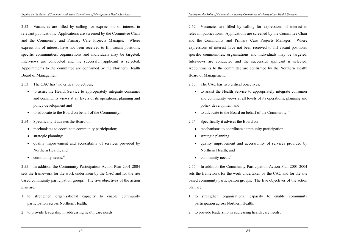2.52 Vacancies are filled by calling for expressions of interest in relevant publications. Applications are screened by the Committee Chair and the Community and Primary Care Projects Manager. Where expressions of interest have not been received to fill vacant positions, specific communities, organisations and individuals may be targeted. Interviews are conducted and the successful applicant is selected. Appointments to the committee are confirmed by the Northern Health Board of Management.

- 2.53 The CAC has two critical objectives;
	- to assist the Health Service to appropriately integrate consumer and community views at all levels of its operations, planning and policy development and
	- to advocate to the Board on behalf of the Community.<sup>31</sup>
- 2.54 Specifically it advises the Board on
	- mechanisms to coordinate community participation;
	- strategic planning;
	- quality improvement and accessibility of services provided by Northern Health; and
	- community needs. $32$

2.55 In addition the Community Participation Action Plan 2001-2004 sets the framework for the work undertaken by the CAC and for the site based community participation groups. The five objectives of the action plan are:

- 1. to strengthen organisational capacity to enable community participation across Northern Health;
- 2. to provide leadership in addressing health care needs;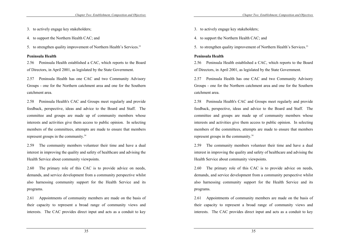- 3. to actively engage key stakeholders;
- 4. to support the Northern Health CAC; and
- 5. to strengthen quality improvement of Northern Health's Services.<sup>33</sup>

#### **Peninsula Health**

2.56 Peninsula Health established a CAC, which reports to the Board of Directors, in April 2001, as legislated by the State Government.

2.57 Peninsula Health has one CAC and two Community Advisory Groups - one for the Northern catchment area and one for the Southern catchment area.

2.58 Peninsula Health's CAC and Groups meet regularly and provide feedback, perspective, ideas and advice to the Board and Staff. The committee and groups are made up of community members whose interests and activities give them access to public opinion. In selecting members of the committees, attempts are made to ensure that members represent groups in the community.34

2.59 The community members volunteer their time and have a dual interest in improving the quality and safety of healthcare and advising the Health Service about community viewpoints.

2.60 The primary role of this CAC is to provide advice on needs, demands, and service development from a community perspective whilst also harnessing community support for the Health Service and its programs.

2.61 Appointments of community members are made on the basis of their capacity to represent a broad range of community views and interests. The CAC provides direct input and acts as a conduit to key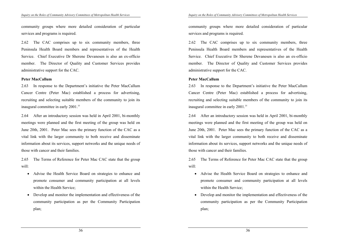community groups where more detailed consideration of particular services and programs is required.

2.62 The CAC comprises up to six community members, three Peninsula Health Board members and representatives of the Health Service. Chief Executive Dr Sherene Devanesen is also an ex-officio member. The Director of Quality and Customer Services provides administrative support for the CAC.

#### **Peter MacCallum**

2.63 In response to the Department's initiative the Peter MacCallum Cancer Centre (Peter Mac) established a process for advertising, recruiting and selecting suitable members of the community to join its inaugural committee in early 2001.35

2.64 After an introductory session was held in April 2001, bi-monthly meetings were planned and the first meeting of the group was held on June 20th, 2001. Peter Mac sees the primary function of the CAC as a vital link with the larger community to both receive and disseminate information about its services, support networks and the unique needs of those with cancer and their families.

2.65 The Terms of Reference for Peter Mac CAC state that the group will:

- Advise the Health Service Board on strategies to enhance and promote consumer and community participation at all levels within the Health Service;
- Develop and monitor the implementation and effectiveness of the community participation as per the Community Participation plan;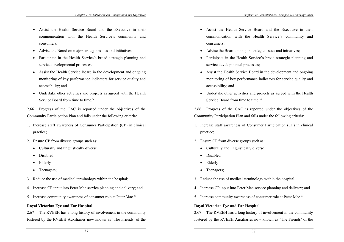- Assist the Health Service Board and the Executive in their communication with the Health Service's community and consumers;
- Advise the Board on major strategic issues and initiatives;
- Participate in the Health Service's broad strategic planning and service developmental processes;
- Assist the Health Service Board in the development and ongoing monitoring of key performance indicators for service quality and accessibility; and
- Undertake other activities and projects as agreed with the Health Service Board from time to time.<sup>36</sup>

2.66 Progress of the CAC is reported under the objectives of the Community Participation Plan and falls under the following criteria:

- 1. Increase staff awareness of Consumer Participation (CP) in clinical practice;
- 2. Ensure CP from diverse groups such as:
	- Culturally and linguistically diverse
	- Disabled
	- Elderly
	- Teenagers;
- 3. Reduce the use of medical terminology within the hospital;
- 4. Increase CP input into Peter Mac service planning and delivery; and
- 5. Increase community awareness of consumer role at Peter Mac.<sup>37</sup>

### **Royal Victorian Eye and Ear Hospital**

2.67 The RVEEH has a long history of involvement in the community fostered by the RVEEH Auxiliaries now known as 'The Friends' of the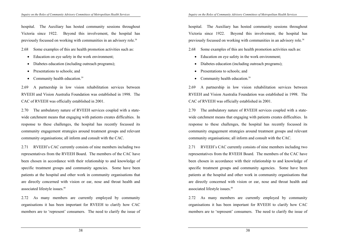hospital. The Auxiliary has hosted community sessions throughout Victoria since 1922. Beyond this involvement, the hospital has previously focussed on working with communities in an advisory role.38

2.68 Some examples of this are health promotion activities such as:

- Education on eye safety in the work environment;
- Diabetes education (including outreach programs);
- Presentations to schools; and
- Community health education. $39$

2.69 A partnership in low vision rehabilitation services between RVEEH and Vision Australia Foundation was established in 1998. The CAC of RVEEH was officially established in 2001.

2.70 The ambulatory nature of RVEEH services coupled with a statewide catchment means that engaging with patients creates difficulties. In response to these challenges, the hospital has recently focussed its community engagement strategies around treatment groups and relevant community organisations; all inform and consult with the CAC.

2.71 RVEEH's CAC currently consists of nine members including two representatives from the RVEEH Board. The members of the CAC have been chosen in accordance with their relationship to and knowledge of specific treatment groups and community agencies. Some have been patients at the hospital and other work in community organisations that are directly concerned with vision or ear, nose and throat health and associated lifestyle issues.40

2.72 As many members are currently employed by community organisations it has been important for RVEEH to clarify how CAC members are to 'represent' consumers. The need to clarify the issue of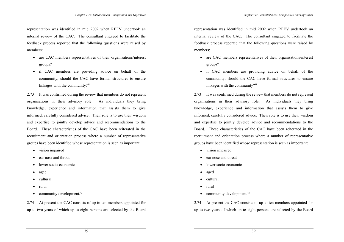representation was identified in mid 2002 when REEV undertook an internal review of the CAC. The consultant engaged to facilitate the feedback process reported that the following questions were raised by members:

- are CAC members representatives of their organisations/interest groups?
- if CAC members are providing advice on behalf of the community, should the CAC have formal structures to ensure linkages with the community?<sup>41</sup>

2.73 It was confirmed during the review that members do not represent organisations in their advisory role. As individuals they bring knowledge, experience and information that assists them to give informed, carefully considered advice. Their role is to use their wisdom and expertise to jointly develop advice and recommendations to the Board. These characteristics of the CAC have been reiterated in the recruitment and orientation process where a number of representative groups have been identified whose representation is seen as important:

- vision impaired
- ear nose and throat
- lower socio-economic
- aged
- cultural
- rural
- community development. $42$

2.74 At present the CAC consists of up to ten members appointed for up to two years of which up to eight persons are selected by the Board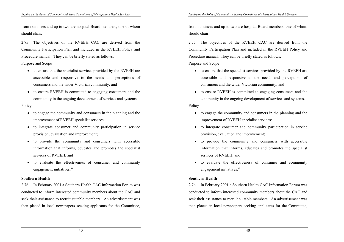from nominees and up to two are hospital Board members, one of whom should chair.

2.75 The objectives of the RVEEH CAC are derived from the Community Participation Plan and included in the RVEEH Policy and Procedure manual. They can be briefly stated as follows:

Purpose and Scope

- to ensure that the specialist services provided by the RVEEH are accessible and responsive to the needs and perceptions of consumers and the wider Victorian community; and
- to ensure RVEEH is committed to engaging consumers and the community in the ongoing development of services and systems.

**Policy** 

- to engage the community and consumers in the planning and the improvement of RVEEH specialist services:
- to integrate consumer and community participation in service provision, evaluation and improvement;
- to provide the community and consumers with accessible information that informs, educates and promotes the specialist services of RVEEH; and
- to evaluate the effectiveness of consumer and community engagement initiatives.<sup>43</sup>

# **Southern Health**

2.76 In February 2001 a Southern Health CAC Information Forum was conducted to inform interested community members about the CAC and seek their assistance to recruit suitable members. An advertisement was then placed in local newspapers seeking applicants for the Committee,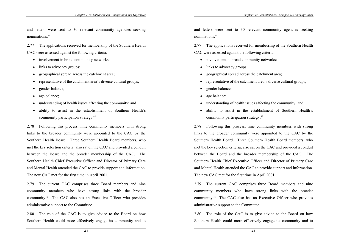and letters were sent to 30 relevant community agencies seeking nominations<sup>44</sup>

2.77 The applications received for membership of the Southern Health CAC were assessed against the following criteria:

- involvement in broad community networks;
- links to advocacy groups;
- geographical spread across the catchment area;
- representative of the catchment area's diverse cultural groups;
- gender balance;
- age balance;
- understanding of health issues affecting the community; and
- ability to assist in the establishment of Southern Health's community participation strategy.45

2.78 Following this process, nine community members with strong links to the broader community were appointed to the CAC by the Southern Health Board. Three Southern Health Board members, who met the key selection criteria, also sat on the CAC and provided a conduit between the Board and the broader membership of the CAC. The Southern Health Chief Executive Officer and Director of Primary Care and Mental Health attended the CAC to provide support and information. The new CAC met for the first time in April 2001.

2.79 The current CAC comprises three Board members and nine community members who have strong links with the broader community.46 The CAC also has an Executive Officer who provides administrative support to the Committee.

2.80 The role of the CAC is to give advice to the Board on how Southern Health could more effectively engage its community and to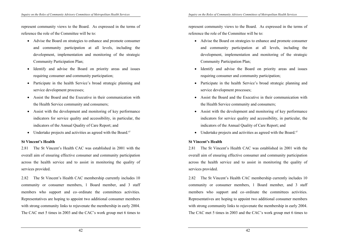represent community views to the Board. As expressed in the terms of reference the role of the Committee will be to:

- Advise the Board on strategies to enhance and promote consumer and community participation at all levels, including the development, implementation and monitoring of the strategic Community Participation Plan;
- Identify and advise the Board on priority areas and issues requiring consumer and community participation;
- Participate in the health Service's broad strategic planning and service development processes;
- Assist the Board and the Executive in their communication with the Health Service community and consumers;
- Assist with the development and monitoring of key performance indicators for service quality and accessibility, in particular, the indicators of the Annual Quality of Care Report; and
- Undertake projects and activities as agreed with the Board.<sup>47</sup>

### **St Vincent's Health**

2.81 The St Vincent's Health CAC was established in 2001 with the overall aim of ensuring effective consumer and community participation across the health service and to assist in monitoring the quality of services provided.

2.82 The St Vincent's Health CAC membership currently includes 10 community or consumer members, 1 Board member, and 3 staff members who support and co–ordinate the committees activities. Representatives are hoping to appoint two additional consumer members with strong community links to rejuvenate the membership in early 2004. The CAC met 5 times in 2003 and the CAC's work group met 6 times to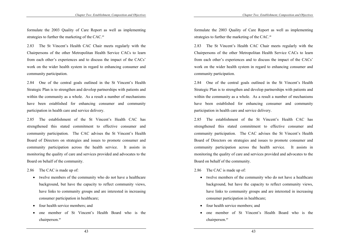formulate the 2003 Quality of Care Report as well as implementing strategies to further the marketing of the CAC.<sup>48</sup>

2.83 The St Vincent's Health CAC Chair meets regularly with the Chairpersons of the other Metropolitan Health Service CACs to learn from each other's experiences and to discuss the impact of the CACs' work on the wider health system in regard to enhancing consumer and community participation.

2.84 One of the central goals outlined in the St Vincent's Health Strategic Plan is to strengthen and develop partnerships with patients and within the community as a whole. As a result a number of mechanisms have been established for enhancing consumer and community participation in health care and service delivery.

2.85 The establishment of the St Vincent's Health CAC has strengthened this stated commitment to effective consumer and community participation. The CAC advises the St Vincent's Health Board of Directors on strategies and issues to promote consumer and community participation across the health service. It assists in monitoring the quality of care and services provided and advocates to the Board on behalf of the community.

- 2.86 The CAC is made up of:
	- twelve members of the community who do not have a healthcare background, but have the capacity to reflect community views, have links to community groups and are interested in increasing consumer participation in healthcare;
	- four health service members; and
	- one member of St Vincent's Health Board who is the chairperson.<sup>49</sup>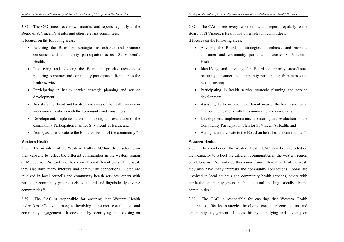2.87 The CAC meets every two months, and reports regularly to the Board of St Vincent's Health and other relevant committees.

It focuses on the following areas:

- Advising the Board on strategies to enhance and promote consumer and community participation across St Vincent's Health;
- Identifying and advising the Board on priority areas/issues requiring consumer and community participation from across the health service;
- Participating in health service strategic planning and service development;
- Assisting the Board and the different areas of the health service in any communications with the community and consumers;
- Development, implementation, monitoring and evaluation of the Community Participation Plan for St Vincent's Health; and
- Acting as an advocate to the Board on behalf of the community.<sup>50</sup>

### **Western Health**

2.88 The members of the Western Health CAC have been selected on their capacity to reflect the different communities in the western region of Melbourne. Not only do they come from different parts of the west, they also have many interests and community connections. Some are involved in local councils and community health services, others with particular community groups such as cultural and linguistically diverse  $commu$ nities<sup> $51$ </sup>

2.89 The CAC is responsible for ensuring that Western Health undertakes effective strategies involving consumer consultation and community engagement. It does this by identifying and advising on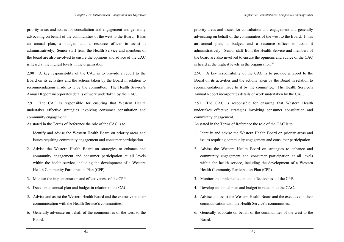priority areas and issues for consultation and engagement and generally advocating on behalf of the communities of the west to the Board. It has an annual plan, a budget, and a resource officer to assist it administratively. Senior staff from the Health Service and members of the board are also involved to ensure the opinions and advice of the CAC is heard at the highest levels in the organisation. $52$ 

2.90 A key responsibility of the CAC is to provide a report to the Board on its activities and the actions taken by the Board in relation to recommendations made to it by the committee. The Health Service's Annual Report incorporates details of work undertaken by the CAC.

2.91 The CAC is responsible for ensuring that Western Health undertakes effective strategies involving consumer consultation and community engagement.

As stated in the Terms of Reference the role of the CAC is to:

- 1. Identify and advise the Western Health Board on priority areas and issues requiring community engagement and consumer participation.
- 2. Advise the Western Health Board on strategies to enhance and community engagement and consumer participation at all levels within the health service, including the development of a Western Health Community Participation Plan (CPP).
- 3. Monitor the implementation and effectiveness of the CPP.
- 4. Develop an annual plan and budget in relation to the CAC.
- 5. Advise and assist the Western Health Board and the executive in their communication with the Health Service's communities.
- 6. Generally advocate on behalf of the communities of the west to the Board.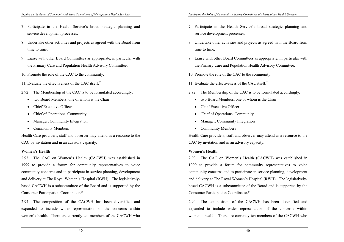- 7. Participate in the Health Service's broad strategic planning and service development processes.
- 8. Undertake other activities and projects as agreed with the Board from time to time.
- 9. Liaise with other Board Committees as appropriate, in particular with the Primary Care and Population Health Advisory Committee.
- 10. Promote the role of the CAC to the community.
- 11. Evaluate the effectiveness of the CAC itself.<sup>53</sup>
- 2.92 The Membership of the CAC is to be formulated accordingly.
	- two Board Members, one of whom is the Chair
	- Chief Executive Officer
	- Chief of Operations, Community
	- Manager, Community Integration
	- Community Members

Health Care providers, staff and observer may attend as a resource to the CAC by invitation and in an advisory capacity.

# **Women's Health**

2.93 The CAC on Women's Health (CACWH) was established in 1999 to provide a forum for community representatives to voice community concerns and to participate in service planning, development and delivery at The Royal Women's Hospital (RWH). The legislativelybased CACWH is a subcommittee of the Board and is supported by the Consumer Participation Coordinator.<sup>54</sup>

2.94 The composition of the CACWH has been diversified and expanded to include wider representation of the concerns within women's health. There are currently ten members of the CACWH who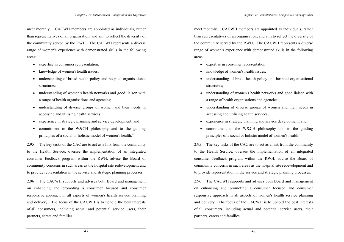meet monthly. CACWH members are appointed as individuals, rather than representatives of an organisation, and aim to reflect the diversity of the community served by the RWH. The CACWH represents a diverse range of women's experience with demonstrated skills in the following areas:

- expertise in consumer representation;
- knowledge of women's health issues;
- understanding of broad health policy and hospital organisational structures;
- understanding of women's health networks and good liaison with a range of health organisations and agencies;
- understanding of diverse groups of women and their needs in accessing and utilising health services;
- experience in strategic planning and service development; and
- commitment to the W&CH philosophy and to the guiding principles of a social or holistic model of women's health.<sup>55</sup>

2.95 The key tasks of the CAC are to act as a link from the community to the Health Service, oversee the implementation of an integrated consumer feedback program within the RWH, advise the Board of community concerns in such areas as the hospital site redevelopment and to provide representation in the service and strategic planning processes.

2.96 The CACWH supports and advises both Board and management on enhancing and promoting a consumer focused and consumer responsive approach in all aspects of women's health service planning and delivery. The focus of the CACWH is to uphold the best interests of all consumers, including actual and potential service users, their partners, carers and families.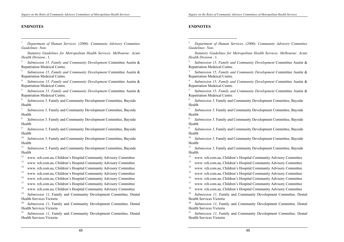### **ENDNOTES**

 $\overline{a}$ 

1 *Department of Human Services. (2000). Community Advisory Committee Guidelines: Non-* 

 *Statutory Guidelines for Metropolitan Health Services. Melbourne: Acute Health Division.*: 1.

2 *Submission 15, Family and Community Development* Committee Austin & Repatriation Medeical Centre.

3 *Submission 15, Family and Community Development* Committee Austin & Repatriation Medeical Centre.

4 *Submission 15, Family and Community Development* Committee Austin & Repatriation Medeical Centre.

5 *Submission 15, Family and Community Development* Committee Austin & Repatriation Medeical Centre.

6 *Submission 5,* Family and Community Development Committee, Bayside Health

7 *Submission 5,* Family and Community Development Committee, Bayside Health

8 *Submission 5,* Family and Community Development Committee, Bayside Health

9 *Submission 5,* Family and Community Development Committee, Bayside Health

<sup>10</sup> *Submission 5, Family and Community Development Committee, Bayside* Health

<sup>11</sup> *Submission 5, Family and Community Development Committee, Bayside* Health

12 www. rch.com.au, Children's Hospital Community Advisory Committee

13 www. rch.com.au, Children's Hospital Community Advisory Committee

14 www. rch.com.au, Children's Hospital Community Advisory Committee

<sup>15</sup> www. rch.com.au, Children's Hospital Community Advisory Committee

16 www. rch.com.au, Children's Hospital Community Advisory Committee

17 www. rch.com.au, Children's Hospital Community Advisory Committee

18 www. rch.com.au, Children's Hospital Community Advisory Committee

19 *Submission 11*, Family and Community Development Committee*,* Dental Health Services Victoria

20 *Submission 11*, Family and Community Development Committee*,* Dental Health Services Victoria

21 *Submission 11*, Family and Community Development Committee*,* Dental Health Services Victoria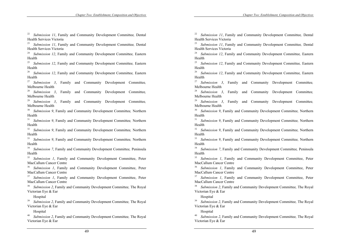22 *Submission 11*, Family and Community Development Committee*,* Dental Health Services Victoria

23 *Submission 11*, Family and Community Development Committee*,* Dental Health Services Victoria

24 *Submission 12*, Family and Community Development Committee*,* Eastern Health

25 *Submission 12*, Family and Community Development Committee*,* Eastern Health

26 *Submission 12*, Family and Community Development Committee*,* Eastern Health

27 *Submission 3*, Family and Community Development Committee*,*  Melbourne Health

28 *Submission 3*, Family and Community Development Committee*,*  Melbourne Health

29 *Submission 3*, Family and Community Development Committee*,*  Melbourne Health

30 *Submission 9*, Family and Community Development Committee*,* Northern Health

31 *Submission 9*, Family and Community Development Committee*,* Northern Health

32 *Submission 9*, Family and Community Development Committee*,* Northern Health

33 *Submission 9*, Family and Community Development Committee*,* Northern Health

34 *Submission 7*, Family and Community Development Committee*,* Peninsula Health

35 *Submission 1*, Family and Community Development Committee, Peter MacCallum Cancer Centre

36 *Submission 1*, Family and Community Development Committee, Peter MacCallum Cancer Centre

Submission *1*, Family and Community Development Committee, Peter MacCallum Cancer Centre

38 *Submission 2*, Family and Community Development Committee*,* The Royal Victorian Eye & Ear

Hospital

39 *Submission 2*, Family and Community Development Committee*,* The Royal Victorian Eye & Ear

Hospital

40 *Submission 2*, Family and Community Development Committee*,* The Royal Victorian Eye & Ear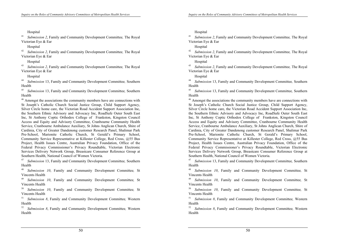Hospital

41 *Submission 2*, Family and Community Development Committee*,* The Royal Victorian Eye & Ear

Hospital

42 *Submission 2*, Family and Community Development Committee*,* The Royal Victorian Eye & Ear

Hospital

43 *Submission 2*, Family and Community Development Committee*,* The Royal Victorian Eye & Ear

Hospital

44 *Submission* 13, Family and Community Development Committee*,* Southern Health

45 *Submission* 13, Family and Community Development Committee*,* Southern Health

<sup>46</sup> Amongst the associations the community members have are connections with St Joseph's Catholic Church Social Justice Group, Child Support Agency, Silver Circle home care, the Victorian Road Accident Support Association Inc, the Southern Ethnic Advisory and Advocacy Inc, RoadSafe Outer South East Inc, St Anthony Coptic Orthodox College of Frankston, Kingston Council Access and Equity and Advisory Committee, Cranbourne Community Health Service, Cranbourne Ambulance Auxiliary, St Johns Anglican Church, Shire of Cardinia, City of Greater Dandenong customer Research Panel, Shalimar Park Pre-School, Marionite Catholic Church, St Gerald's Primary School, Community Service Representative at Killester College, Red Cross, @55 Bus Project, Health Issues Centre, Australian Privacy Foundation, Office of the Federal Privacy Commissioner's Privacy Roundtable, Victorian Electronic Services Delivery Network Group, Breastcare Consumer Reference Group at Southern Health, National Council of Women Victoria.

47 *Submission* 13, Family and Community Development Committee*,* Southern Health

48 *Submission 10*, Family and Community Development Committee*,* St Vincents Health

49 *Submission 10*, Family and Community Development Committee*,* St Vincents Health

50 *Submission 10*, Family and Community Development Committee*,* St Vincents Health

51 *Submission 8*, Family and Community Development Committee*,* Western Health

52 *Submission 8*, Family and Community Development Committee*,* Western Health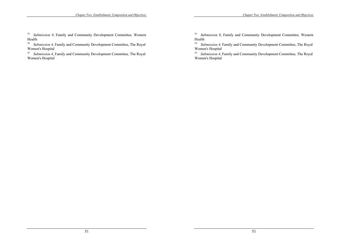53 *Submission 8*, Family and Community Development Committee*,* Western Health

<sup>54</sup> *Submission 4,* Family and Community Development Committee, The Royal Women's Hospital

55 *Submission 4*, Family and Community Development Committee*,* The Royal Women's Hospital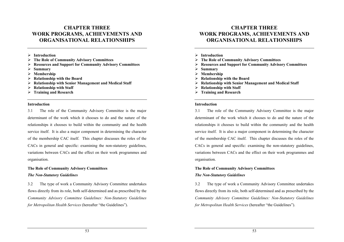# **CHAPTER THREE WORK PROGRAMS, ACHIEVEMENTS AND ORGANISATIONAL RELATIONSHIPS**

- ¾ **Introduction**
- ¾ **The Role of Community Advisory Committees**
- ¾ **Resources and Support for Community Advisory Committees**
- ¾ **Summary**
- ¾ **Membership**
- ¾ **Relationship with the Board**
- ¾ **Relationship with Senior Management and Medical Staff**
- ¾ **Relationship with Staff**
- ¾ **Training and Research**

#### **Introduction**

3.1 The role of the Community Advisory Committee is the major determinant of the work which it chooses to do and the nature of the relationships it chooses to build within the community and the health service itself. It is also a major component in determining the character of the membership CAC itself. This chapter discusses the roles of the CACs in general and specific: examining the non-statutory guidelines, variations between CACs and the effect on their work programmes and organisation.

# **The Role of Community Advisory Committees**  *The Non-Statutory Guidelines*

3.2 The type of work a Community Advisory Committee undertakes flows directly from its role, both self-determined and as prescribed by the *Community Advisory Committee Guidelines: Non-Statutory Guidelines for Metropolitan Health Services* (hereafter "the Guidelines").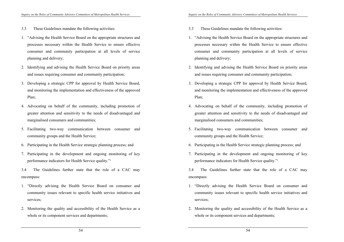- 3.3 These Guidelines mandate the following activities:
- 1. "Advising the Health Service Board on the appropriate structures and processes necessary within the Health Service to ensure effective consumer and community participation at all levels of service planning and delivery;
- 2. Identifying and advising the Health Service Board on priority areas and issues requiring consumer and community participation;
- 3. Developing a strategic CPP for approval by Health Service Board, and monitoring the implementation and effectiveness of the approved Plan;
- 4. Advocating on behalf of the community, including promotion of greater attention and sensitivity to the needs of disadvantaged and marginalised consumers and communities;
- 5. Facilitating two-way communication between consumer and community groups and the Health Service;
- 6. Participating in the Health Service strategic planning process; and
- 7. Participating in the development and ongoing monitoring of key performance indicators for Health Service quality."1

3.4 The Guidelines further state that the role of a CAC may encompass:

- 1. "Directly advising the Health Service Board on consumer and community issues relevant to specific health service initiatives and services;
- 2. Monitoring the quality and accessibility of the Health Service as a whole or its component services and departments;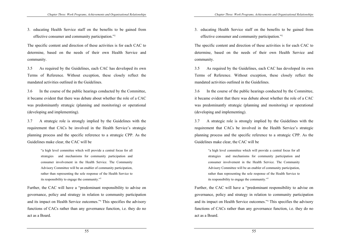3. educating Health Service staff on the benefits to be gained from effective consumer and community participation."<sup>2</sup>

The specific content and direction of these activities is for each CAC to determine, based on the needs of their own Health Service and community.

3.5 As required by the Guidelines, each CAC has developed its own Terms of Reference. Without exception, these closely reflect the mandated activities outlined in the Guidelines.

3.6 In the course of the public hearings conducted by the Committee, it became evident that there was debate about whether the role of a CAC was predominantly strategic (planning and monitoring) or operational (developing and implementing).

3.7 A strategic role is strongly implied by the Guidelines with the requirement that CACs be involved in the Health Service's strategic planning process and the specific reference to a strategic CPP. As the Guidelines make clear, the CAC will be

> "a high level committee which will provide a central focus for all strategies and mechanisms for community participation and consumer involvement in the Health Service. The Community Advisory Committee will be an enabler of community participation, rather than representing the sole response of the Health Service to its responsibility to engage the community."3

Further, the CAC will have a "predominant responsibility to advise on governance, policy and strategy in relation to community participation and its impact on Health Service outcomes."4 This specifies the advisory functions of CACs rather than any governance function, i.e. they do no act as a Board.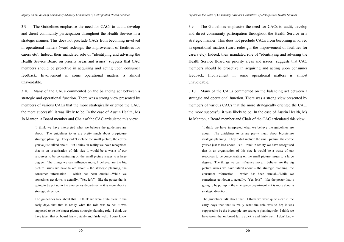3.9 The Guidelines emphasise the need for CACs to audit, develop and direct community participation throughout the Health Service in a strategic manner. This does not preclude CACs from becoming involved in operational matters (ward redesign, the improvement of facilities for carers etc). Indeed, their mandated role of "identifying and advising the Health Service Board on priority areas and issues" suggests that CAC members should be proactive in acquiring and acting upon consumer feedback. Involvement in some operational matters is almost unavoidable.

3.10 Many of the CACs commented on the balancing act between a strategic and operational function. There was a strong view presented by members of various CACs that the more strategically oriented the CAC, the more successful it was likely to be. In the case of Austin Health, Ms Jo Manton, a Board member and Chair of the CAC articulated this view:

> "I think we have interpreted what we believe the guidelines are about. The guidelines to us are pretty much about big-picture strategic planning. They didn't include the small picture, the coffee you've just talked about. But I think in reality we have recognised that in an organisation of this size it would be a waste of our resources to be concentrating on the small picture issues to a large degree. The things we can influence more, I believe, are the big picture issues we have talked about – the strategic planning, the consumer information – which has been crucial…While we sometimes get down to actually, "Yes, let's" – like the poster that is going to be put up in the emergency department – it is more about a strategic direction.

> The guidelines talk about that. I think we were quite clear in the early days that that is really what the role was to be; it was supposed to be the bigger picture strategic planning role. I think we have taken that on board fairly quickly and fairly well. I don't know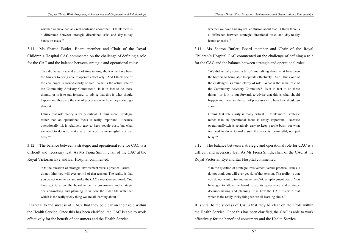whether we have had any real confusion about that…I think there is a difference between strategic directional tasks and day-to-day hands-on tasks<sup>"5</sup>

3.11 Ms Sharon Butler, Board member and Chair of the Royal Children's Hospital CAC commented on the challenge of defining a role for the CAC and the balance between strategic and operational roles:

> "We did actually spend a bit of time talking about what have been the barriers to being able to operate effectively. And I think one of the challenges is around clarity of role. What is the actual role of the Community Advisory Committee? Is it in fact to do these things…or is it to put forward, to advise that this is what should happen and these are the sort of processes as to how they should go about it.

> I think that role clarity is really critical…I think more…strategic rather than an operational focus is really important. Because operationally…it is relatively easy to keep people busy, but what we need to do is to make sure the work is meaningful, not just busy."6

3.12 The balance between a strategic and operational role for CAC is a difficult and necessary feat. As Ms Fiona Smith, chair of the CAC at the Royal Victorian Eye and Ear Hospital commented,

> "On the question of strategic involvement versus practical issues, I do not think you will ever get rid of that tension. The reality is that you do not want to try and make the CAC a replacement board. You have got to allow the board to do its governance and strategic decision-making and planning. It is how the CAC fits with that which is the really tricky thing we are all learning about."<sup>7</sup>

It is vital to the success of CACs that they be clear on their role within the Health Service. Once this has been clarified, the CAC is able to work effectively for the benefit of consumers and the Health Service.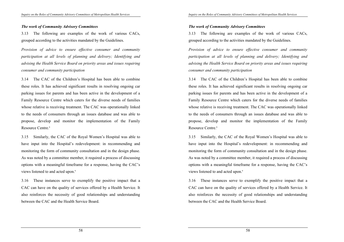#### *The work of Community Advisory Committees*

3.13 The following are examples of the work of various CACs, grouped according to the activities mandated by the Guidelines.

*Provision of advice to ensure effective consumer and community participation at all levels of planning and delivery; Identifying and advising the Health Service Board on priority areas and issues requiring consumer and community participation* 

3.14 The CAC of the Children's Hospital has been able to combine these roles. It has achieved significant results in resolving ongoing car parking issues for parents and has been active in the development of a Family Resource Centre which caters for the diverse needs of families whose relative is receiving treatment. The CAC was operationally linked to the needs of consumers through an issues database and was able to propose, develop and monitor the implementation of the Family Resource Centre<sup>8</sup>

3.15 Similarly, the CAC of the Royal Women's Hospital was able to have input into the Hospital's redevelopment: in recommending and monitoring the form of community consultation and in the design phase. As was noted by a committee member, it required a process of discussing options with a meaningful timeframe for a response, having the CAC's views listened to and acted upon.9

3.16 These instances serve to exemplify the positive impact that a CAC can have on the quality of services offered by a Health Service. It also reinforces the necessity of good relationships and understanding between the CAC and the Health Service Board.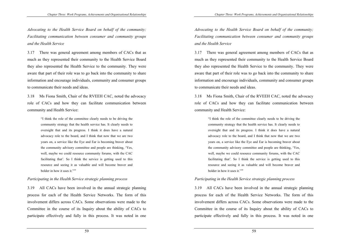*Advocating to the Health Service Board on behalf of the community; Facilitating communication between consumer and community groups and the Health Service* 

3.17 There was general agreement among members of CACs that as much as they represented their community to the Health Service Board they also represented the Health Service to the community. They were aware that part of their role was to go back into the community to share information and encourage individuals, community and consumer groups to communicate their needs and ideas.

3.18 Ms Fiona Smith, Chair of the RVEEH CAC, noted the advocacy role of CACs and how they can facilitate communication between community and Health Service:

> "I think the role of the committee clearly needs to be driving the community strategy that the health service has. It clearly needs to oversight that and its progress. I think it does have a natural advocacy role to the board, and I think that now that we are two years on, a service like the Eye and Ear is becoming braver about the community advisory committee and people are thinking, 'Yes, well, maybe we could resource community forums, with the CAC facilitating that'. So I think the service is getting used to this resource and seeing it as valuable and will become braver and bolder in how it uses it."<sup>10</sup>

#### *Participating in the Health Service strategic planning process*

3.19 All CACs have been involved in the annual strategic planning process for each of the Health Service Networks. The form of this involvement differs across CACs. Some observations were made to the Committee in the course of its Inquiry about the ability of CACs to participate effectively and fully in this process. It was noted in one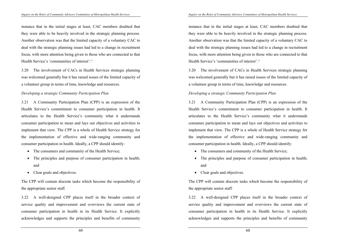instance that in the initial stages at least, CAC members doubted that they were able to be heavily involved in the strategic planning process. Another observation was that the limited capacity of a voluntary CAC to deal with the strategic planning issues had led to a change in recruitment focus, with more attention being given to those who are connected to that Health Service's 'communities of interest'.11

3.20 The involvement of CACs in Health Services strategic planning was welcomed generally but it has raised issues of the limited capacity of a volunteer group in terms of time, knowledge and resources.

### *Developing a strategic Community Participation Plan*

3.21 A Community Participation Plan (CPP) is an expression of the Health Service's commitment to consumer participation in health. It articulates to the Health Service's community what it understands consumer participation to mean and lays out objectives and activities to implement that view. The CPP is a whole of Health Service strategy for the implementation of effective and wide-ranging community and consumer participation in health. Ideally, a CPP should identify:

- The consumers and community of the Health Service;
- The principles and purpose of consumer participation in health; and
- Clear goals and objectives.

The CPP will contain discrete tasks which become the responsibility of the appropriate senior staff.

3.22 A well-designed CPP places itself in the broader context of service quality and improvement and overviews the current state of consumer participation in health in its Health Service. It explicitly acknowledges and supports the principles and benefits of community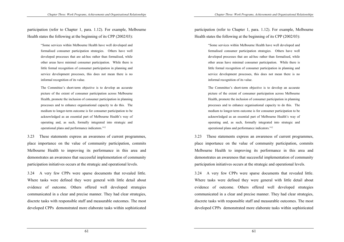participation (refer to Chapter 1, para. 1.12). For example, Melbourne Health states the following at the beginning of its CPP (2002/03):

> "Some services within Melbourne Health have well developed and formalised consumer participation strategies. Others have well developed processes that are ad-hoc rather than formalised, while other areas have minimal consumer participation. While there is little formal recognition of consumer participation in planning and service development processes, this does not mean there is no informal recognition of its value.

> The Committee's short-term objective is to develop an accurate picture of the extent of consumer participation across Melbourne Health, promote the inclusion of consumer participation in planning processes and to enhance organisational capacity to do this. The medium to longer-term outcome is for consumer participation to be acknowledged as an essential part of Melbourne Health's way of operating and, as such, formally integrated into strategic and operational plans and performance indicators."12

3.23 These statements express an awareness of current programmes, place importance on the value of community participation, commits Melbourne Health to improving its performance in this area and demonstrates an awareness that successful implementation of community participation initiatives occurs at the strategic and operational levels.

3.24 A very few CPPs were sparse documents that revealed little. Where tasks were defined they were general with little detail about evidence of outcome. Others offered well developed strategies communicated in a clear and precise manner. They had clear strategies, discrete tasks with responsible staff and measurable outcomes. The most developed CPPs demonstrated more elaborate tasks within sophisticated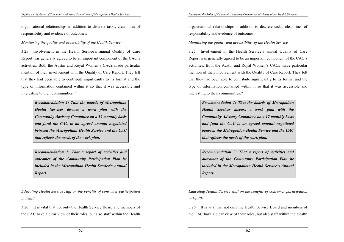organisational relationships in addition to discrete tasks, clear lines of responsibility and evidence of outcomes.

### *Monitoring the quality and accessibility of the Health Service*

3.25 Involvement in the Health Service's annual Quality of Care Report was generally agreed to be an important component of the CAC's activities. Both the Austin and Royal Women's CACs made particular mention of their involvement with the Quality of Care Report. They felt that they had been able to contribute significantly to its format and the type of information contained within it so that it was accessible and interesting to their communities.13

> *Recommendation 1: That the boards of Metropolitan Health Services discuss a work plan with the Community Advisory Committee on a 12 monthly basis and fund the CAC to an agreed amount negotiated between the Metropolitan Health Service and the CAC that reflects the needs of the work plan.*

> *Recommendation 2: That a report of activities and outcomes of the Community Participation Plan be included in the Metropolitan Health Service's Annual Report.*

*Educating Health Service staff on the benefits of consumer participation in health* 

3.26 It is vital that not only the Health Service Board and members of the CAC have a clear view of their roles, but also staff within the Health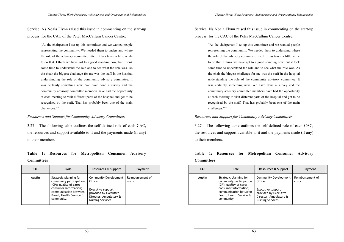Service. Ns Noala Flynn raised this issue in commenting on the start-up process for the CAC of the Peter MacCallum Cancer Centre:

> "As the chairperson I set up this committee and we wanted people representing the community. We needed them to understand where the role of the advisory committee fitted. It has taken a little while to do that. I think we have got to a good standing now, but it took some time to understand the role and to see what the role was. As the chair the biggest challenge for me was the staff in the hospital understanding the role of the community advisory committee. It was certainly something new. We have done a survey and the community advisory committee members have had the opportunity at each meeting to visit different parts of the hospital and get to be recognised by the staff. That has probably been one of the main challenges."14

*Resources and Support for Community Advisory Committees* 

3.27 The following table outlines the self-defined role of each CAC, the resources and support available to it and the payments made (if any) to their members.

## **Table 1: Resources for Metropolitan Consumer Advisory Committees**

| CAC.   | Role                                                                                                                                                                   | Resources & Support                                                                                                                        | Payment                   |
|--------|------------------------------------------------------------------------------------------------------------------------------------------------------------------------|--------------------------------------------------------------------------------------------------------------------------------------------|---------------------------|
| Austin | Strategic planning for<br>community participation<br>(CP); quality of care;<br>consumer information;<br>communication between<br>Board, Health Service &<br>community. | Community Development<br><b>Officer</b><br>Executive support<br>provided by Executive<br>Director, Ambulatory &<br><b>Nursing Services</b> | Reimbursement of<br>costs |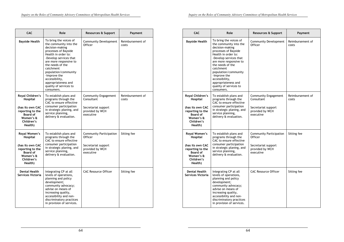| <b>CAC</b>                                                                                                                        | Role                                                                                                                                                                                                                                                                                                                             | <b>Resources &amp; Support</b>                                                                   | Payment                   |
|-----------------------------------------------------------------------------------------------------------------------------------|----------------------------------------------------------------------------------------------------------------------------------------------------------------------------------------------------------------------------------------------------------------------------------------------------------------------------------|--------------------------------------------------------------------------------------------------|---------------------------|
| <b>Bayside Health</b>                                                                                                             | To bring the voices of<br>the community into the<br>decision-making<br>processes of Bayside<br>Health in order to:<br>-Develop services that<br>are more responsive to<br>the needs of the<br>catchment<br>population/community<br>-Improve the<br>accessibility,<br>appropriateness and<br>quality of services to<br>consumers. | <b>Community Development</b><br>Officer                                                          | Reimbursement of<br>costs |
| Royal Children's<br>Hospital<br>(has its own CAC<br>reporting to the<br><b>Board of</b><br>Women's &<br>Children's<br>Health)     | To establish plans and<br>programs through the<br>CAC to ensure effective<br>consumer participation<br>in strategic planing, and<br>service planning,<br>delivery & evaluation.                                                                                                                                                  | Community Engagement<br>Consultant<br>Secretariat support<br>provided by WCH<br>executive        | Reimbursement of<br>costs |
| Royal Women's<br><b>Hospital</b><br>(has its own CAC<br>reporting to the<br><b>Board of</b><br>Women's &<br>Children's<br>Health) | To establish plans and<br>programs through the<br>CAC to ensure effective<br>consumer participation<br>in strategic planing, and<br>service planning,<br>delivery & evaluation.                                                                                                                                                  | <b>Community Participation</b><br>Officer<br>Secretariat support<br>provided by WCH<br>executive | Sitting fee               |
| <b>Dental Health</b><br>Services Victoria                                                                                         | Integrating CP at all<br>levels of operations,<br>planning and policy<br>development;<br>community advocacy;<br>advise on means of<br>increasing quality,<br>accessibility and non-<br>discriminatory practices<br>in provision of services.                                                                                     | <b>CAC Resource Officer</b>                                                                      | Sitting fee               |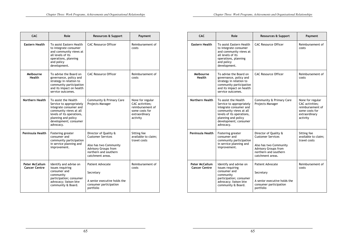| <b>CAC</b>                                    | Role                                                                                                                                                                                           | <b>Resources &amp; Support</b>                                                                                                                          | Payment                                                                                                |
|-----------------------------------------------|------------------------------------------------------------------------------------------------------------------------------------------------------------------------------------------------|---------------------------------------------------------------------------------------------------------------------------------------------------------|--------------------------------------------------------------------------------------------------------|
| <b>Eastern Health</b>                         | To assist Eastern Health<br>to integrate consumer<br>and community views at<br>all levels of its<br>operations, planning<br>and policy<br>development.                                         | <b>CAC Resource Officer</b>                                                                                                                             | Reimbursement of<br>costs                                                                              |
| Melbourne<br><b>Health</b>                    | To advise the Board on<br>governance, policy and<br>strategy in relation to<br>community participation<br>and its impact on health<br>service outcomes.                                        | <b>CAC Resource Officer</b>                                                                                                                             | Reimbursement of<br>costs                                                                              |
| Northern Health                               | To assist the Health<br>Service to appropriately<br>integrate consumer and<br>community views at all<br>levels of its operations,<br>planning and policy<br>development; consumer<br>advocacy. | Community & Primary Care<br>Projects Manager                                                                                                            | None for regular<br>CAC activities;<br>reimbursement of<br>some costs for<br>extraordinary<br>activity |
| Peninsula Health                              | Fostering greater<br>consumer and<br>community participation<br>in service planning and<br>improvement.                                                                                        | Director of Quality &<br><b>Customer Services</b><br>Also has two Community<br><b>Advisory Groups from</b><br>northern and southern<br>catchment areas. | Sitting fee<br>available to claim;<br>travel costs                                                     |
| <b>Peter McCallum</b><br><b>Cancer Centre</b> | Identify and advise on<br>issues requiring<br>consumer and<br>community<br>participation; consumer<br>advocacy; liaison btw<br>community & Board.                                              | <b>Patient Advocate</b><br>Secretary<br>A senior executive holds the<br>consumer participation<br>portfolio                                             | Reimbursement of<br>costs                                                                              |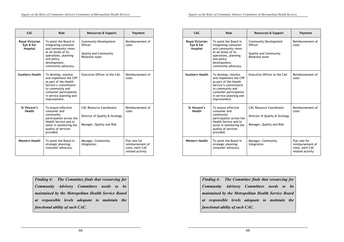| <b>CAC</b>                               | Role                                                                                                                                                                                   | <b>Resources &amp; Support</b>                                                                 | Payment                                                                  |
|------------------------------------------|----------------------------------------------------------------------------------------------------------------------------------------------------------------------------------------|------------------------------------------------------------------------------------------------|--------------------------------------------------------------------------|
| Royal Victorian<br>Eye & Ear<br>Hospital | To assist the Board in<br>integrating consumer<br>and community views<br>at all levels of its<br>operations, planning<br>and policy<br>development;<br>community advocacy.             | <b>Community Development</b><br>Officer<br><b>Quality and Community</b><br>Relations team      | Reimbursement of<br>costs                                                |
| Southern Health                          | To develop, monitor<br>and implement the CPP<br>as part of the Health<br>Service's commitment<br>to community and<br>consumer participation<br>in service planning and<br>improvement. | Executive Officer to the CAC                                                                   | Reimbursement of<br>costs                                                |
| St Vincent's<br><b>Health</b>            | To ensure effective<br>consumer and<br>community<br>participation across the<br>Health Service and to<br>assist in monitoring the<br>quality of services<br>provided.                  | <b>CAC Resource Coordinator</b><br>Director of Quality & Strategy<br>Manager, Quality and Risk | Reimbursement of<br>costs                                                |
| <b>Western Health</b>                    | To assist the Board in<br>strategic planning;<br>consumer advocacy.                                                                                                                    | Manager, Community<br>Integration                                                              | Flat rate for<br>reimbursement of<br>costs, each CAC<br>related activity |

*Finding 4: The Committee finds that resourcing for Community Advisory Committees needs to be maintained by the Metropolitan Health Service Board at responsible levels adequate to maintain the functional ability of each CAC.*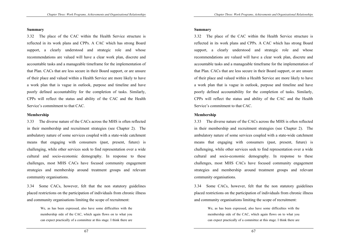#### **Summary**

3.32 The place of the CAC within the Health Service structure is reflected in its work plans and CPPs. A CAC which has strong Board support, a clearly understood and strategic role and whose recommendations are valued will have a clear work plan, discrete and accountable tasks and a manageable timeframe for the implementation of that Plan. CACs that are less secure in their Board support, or are unsure of their place and valued within a Health Service are more likely to have a work plan that is vague in outlook, purpose and timeline and have poorly defined accountability for the completion of tasks. Similarly, CPPs will reflect the status and ability of the CAC and the Health Service's commitment to that CAC.

### **Membership**

3.33 The diverse nature of the CACs across the MHS is often reflected in their membership and recruitment strategies (see Chapter 2). The ambulatory nature of some services coupled with a state-wide catchment means that engaging with consumers (past, present, future) is challenging, while other services seek to find representation over a wide cultural and socio-economic demography. In response to these challenges, most MHS CACs have focused community engagement strategies and membership around treatment groups and relevant community organisations.

3.34 Some CACs, however, felt that the non statutory guidelines placed restrictions on the participation of individuals from chronic illness and community organisations limiting the scope of recruitment:

> We, as has been expressed, also have some difficulties with the membership side of the CAC, which again flows on to what you can expect practically of a committee at this stage. I think there are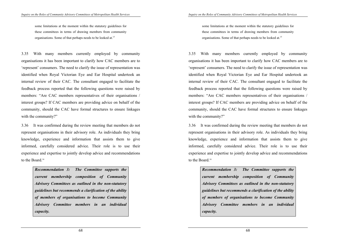some limitations at the moment within the statutory guidelines for these committees in terms of drawing members from community organisations. Some of that perhaps needs to be looked at.15

3.35 With many members currently employed by community organisations it has been important to clarify how CAC members are to 'represent' consumers. The need to clarify the issue of representation was identified when Royal Victorian Eye and Ear Hospital undertook an internal review of their CAC. The consultant engaged to facilitate the feedback process reported that the following questions were raised by members: "Are CAC members representatives of their organisations / interest groups? If CAC members are providing advice on behalf of the community, should the CAC have formal structures to ensure linkages with the community?"

3.36 It was confirmed during the review meeting that members do not represent organisations in their advisory role. As individuals they bring knowledge, experience and information that assists them to give informed, carefully considered advice. Their role is to use their experience and expertise to jointly develop advice and recommendations to the Board.16

> *Recommendation 3: The Committee supports the current membership composition of Community Advisory Committees as outlined in the non-statutory guidelines but recommends a clarification of the ability of members of organisations to become Community Advisory Committee members in an individual capacity.*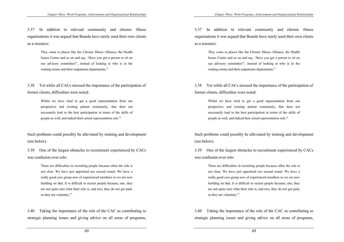3.37 In addition to relevant community and chronic illness organisations it was argued that Boards have rarely used their own clients as a resource:

> They come to places like the Chronic Illness Alliance, the Health Issues Centre and so on and say, 'Have you got a person to sit on our advisory committee?', instead of looking at who is in the waiting rooms and their outpatients departments.<sup>17</sup>

3.38 Yet while all CACs stressed the importance of the participation of former clients, difficulties were noted:

> Whilst we have tried to get a good representation from our prospective and existing patient community, that does not necessarily lead to the best participation in terms of the skills of people as well, and indeed their actual representation role.18

Such problems could possibly be alleviated by training and development (see below).

3.39 One of the largest obstacles to recruitment experienced by CACs was confusion over role:

> There are difficulties in recruiting people because often the role is not clear. We have just appointed our second round. We have a really good core group now of experienced members so we are now building on that. It is difficult to recruit people because, one, they are not quite sure what their role is; and two, they do not get paid, so they are voluntary.<sup>19</sup>

3.40 Taking the importance of the role of the CAC as contributing to strategic planning issues and giving advice on all areas of programs,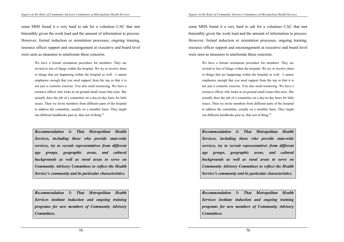some MHS found it a very hard to ask for a volunteer CAC that met bimonthly given the work load and the amount of information to process. However, formal induction or orientation processes, ongoing training, resource officer support and encouragement at executive and board level were seen as measures to ameliorate these concerns.

> We have a formal orientation procedure for members. They are invited to lots of things within the hospital. We try to involve them in things that are happening within the hospital as well. I cannot emphasise enough that you need support from the top so that it is not just a cosmetic exercise. You also need resourcing. We have a resource officer who looks at on-ground small issues that arise. She actually does the job of a committee on a day-to-day basis for little issues. Then we invite members from different parts of the hospital to address the committee, usually on a monthly basis. They might run different handbooks past us, that sort of thing.<sup>20</sup>

> *Recommendation 4: That Metropolitan Health Services, including those who provide state-wide services, try to recruit representatives from different age groups, geographic areas, and cultural backgrounds as well as rural areas to serve on Community Advisory Committees to reflect the Health Service's community and its particular characteristics.*

> *Recommendation 5: That Metropolitan Health Services institute induction and ongoing training programs for new members of Community Advisory Committees.*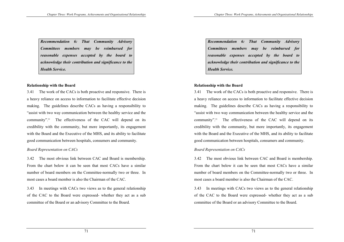*Recommendation 6: That Community Advisory Committees members may be reimbursed for reasonable expenses accepted by the board to acknowledge their contribution and significance to the Health Service.* 

### **Relationship with the Board**

3.41 The work of the CACs is both proactive and responsive. There is a heavy reliance on access to information to facilitate effective decision making. The guidelines describe CACs as having a responsibility to "assist with two way communication between the healthy service and the community".<sup>21</sup> The effectiveness of the CAC will depend on its credibility with the community, but more importantly, its engagement with the Board and the Executive of the MHS, and its ability to facilitate good communication between hospitals, consumers and community.

### *Board Representation on CACs*

3.42 The most obvious link between CAC and Board is membership. From the chart below it can be seen that most CACs have a similar number of board members on the Committee-normally two or three. In most cases a board member is also the Chairman of the CAC.

3.43 In meetings with CACs two views as to the general relationship of the CAC to the Board were expressed- whether they act as a sub committee of the Board or an advisory Committee to the Board.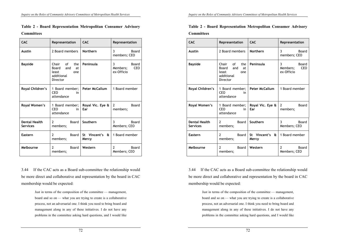| <b>CAC</b>                              | Representation                                                            | <b>CAC</b>                            | Representation                                     |
|-----------------------------------------|---------------------------------------------------------------------------|---------------------------------------|----------------------------------------------------|
| <b>Austin</b>                           | 2 Board members                                                           | <b>Northern</b>                       | 3<br>Board<br>members; CEO                         |
| <b>Bayside</b>                          | Chair of the<br>Board and<br>at<br>least<br>one<br>additional<br>Director | Peninsula                             | 3<br>Board<br><b>CEO</b><br>Members;<br>ex-Officio |
| Royal Children's                        | 1 Board member;<br><b>CEO</b><br>in<br>attendance                         | <b>Peter McCallum</b>                 | 1 Board member                                     |
| Royal Women's                           | 1 Board member;<br><b>CEO</b><br>in<br>attendance                         | Royal Vic. Eye &<br>Ear               | $\mathcal{P}$<br>Board<br>members;                 |
| <b>Dental Health</b><br><b>Services</b> | $\overline{2}$<br>Board<br>members;                                       | Southern                              | 3<br><b>Board</b><br>Members; CEO                  |
| <b>Eastern</b>                          | $\overline{2}$<br>Board<br>members;                                       | St Vincent's<br>$\mathbf{a}$<br>Mercy | 1 Board member                                     |
| Melbourne                               | $\overline{2}$<br>Board<br>members;                                       | Western                               | $\overline{2}$<br><b>Board</b><br>Members; CEO     |

### **Table 2 - Board Representation Metropolitan Consumer Advisory Committees**

3.44 If the CAC acts as a Board sub-committee the relationship would be more direct and collaborative and representation by the board in CAC membership would be expected:

> Just in terms of the composition of the committee — management, board and so on — what you are trying to create is a collaborative process, not an adversarial one. I think you need to bring board and management along in any of these initiatives. I do not have any problems in the committee asking hard questions, and I would like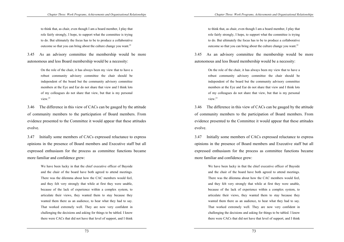to think that, as chair, even though I am a board member, I play that role fairly strongly, I hope, to support what the committee is trying to do. But ultimately the focus has to be to produce a collaborative outcome so that you can bring about the culture change you want.<sup>22</sup>

3.45 As an advisory committee the membership would be more autonomous and less Board membership would be a necessity:

> On the role of the chair, it has always been my view that to have a robust community advisory committee the chair should be independent of the board but the community advisory committee members at the Eye and Ear do not share that view and I think lots of my colleagues do not share that view, but that is my personal view<sup>23</sup>

3.46 The difference in this view of CACs can be gauged by the attitude of community members to the participation of Board members. From evidence presented to the Committee it would appear that these attitudes evolve.

3.47 Initially some members of CACs expressed reluctance to express opinions in the presence of Board members and Executive staff but all expressed enthusiasm for the process as committee functions became more familiar and confidence grew:

> We have been lucky in that the chief executive officer of Bayside and the chair of the board have both agreed to attend meetings. There was the dilemma about how the CAC members would feel, and they felt very strongly that while at first they were unable, because of the lack of experience within a complex system, to articulate their views, they wanted them to stay because they wanted them there as an audience, to hear what they had to say. That worked extremely well. They are now very confident in challenging the decisions and asking for things to be tabled. I know there were CACs that did not have that level of support, and I think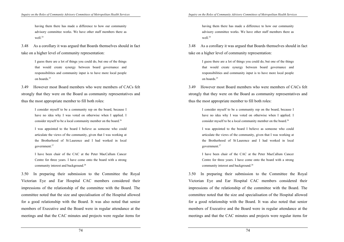having them there has made a difference to how our community advisory committee works. We have other staff members there as well.<sup>24</sup>

3.48 As a corollary it was argued that Boards themselves should in fact take on a higher level of community representation:

> I guess there are a lot of things you could do, but one of the things that would create synergy between board governance and responsibilities and community input is to have more local people on boards<sup>25</sup>

3.49 However most Board members who were members of CACs felt strongly that they were on the Board as community representatives and thus the most appropriate member to fill both roles:

> I consider myself to be a community rep on the board, because I have no idea why I was voted on otherwise when I applied. I consider myself to be a local community member on the board.<sup>26</sup>

> I was appointed to the board I believe as someone who could articulate the views of the community, given that I was working at the Brotherhood of St Laurence and I had worked in local government.27

> I have been chair of the CAC at the Peter MacCallum Cancer Centre for three years. I have come onto the board with a strong community interest and background.<sup>28</sup>

3.50 In preparing their submission to the Committee the Royal Victorian Eye and Ear Hospital CAC members considered their impressions of the relationship of the committee with the Board. The committee noted that the size and specialisation of the Hospital allowed for a good relationship with the Board. It was also noted that senior members of Executive and the Board were in regular attendance at the meetings and that the CAC minutes and projects were regular items for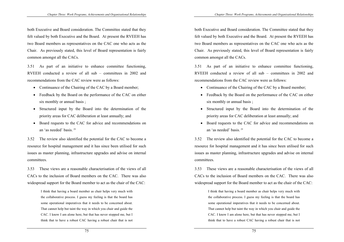both Executive and Board consideration. The Committee stated that they felt valued by both Executive and the Board. At present the RVEEH has two Board members as representatives on the CAC one who acts as the Chair. As previously stated, this level of Board representation is fairly common amongst all the CACs.

3.51 As part of an initiative to enhance committee functioning, RVEEH conducted a review of all sub – committees in 2002 and recommendations from the CAC review were as follows:

- Continuance of the Chairing of the CAC by a Board member;
- Feedback by the Board on the performance of the CAC on either six monthly or annual basis ;
- Structured input by the Board into the determination of the priority areas for CAC deliberation at least annually; and
- Board requests to the CAC for advice and recommendations on an 'as needed' basis. 29

3.52 The review also identified the potential for the CAC to become a resource for hospital management and it has since been utilised for such issues as master planning, infrastructure upgrades and advise on internal committees.

3.53 These views are a reasonable characterisation of the views of all CACs to the inclusion of Board members on the CAC. There was also widespread support for the Board member to act as the chair of the CAC:

> I think that having a board member as chair helps very much with the collaborative process. I guess my feeling is that the board has some operational imperatives that it needs to be concerned about. That cannot help but taint the way in which you chair and guide the CAC. I know I am alone here, but that has never stopped me, but I think that to have a robust CAC having a robust chair that is not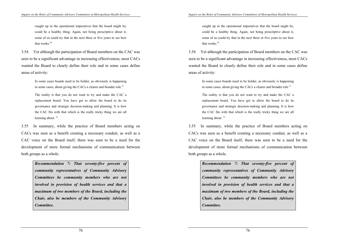caught up in the operational imperatives that the board might be, could be a healthy thing. Again, not being prescriptive about it, some of us could try that in the next three or five years to see how that works $30$ 

3.54 Yet although the participation of Board members on the CAC was seen to be a significant advantage in increasing effectiveness, most CACs wanted the Board to clearly define their role and in some cases define areas of activity:

> In some cases boards need to be bolder, as obviously is happening in some cases, about giving the CACs a clearer and broader role.<sup>31</sup>

> The reality is that you do not want to try and make the CAC a replacement board. You have got to allow the board to do its governance and strategic decision-making and planning. It is how the CAC fits with that which is the really tricky thing we are all learning about.<sup>32</sup>

3.55 In summary, while the practice of Board members acting on CACs was seen as a benefit creating a necessary conduit, as well as a CAC voice on the Board itself, there was seen to be a need for the development of more formal mechanisms of communication between both groups as a whole.

> *Recommendation 7: That seventy-five percent of community representatives of Community Advisory Committees be community members who are not involved in provision of health services and that a maximum of two members of the Board, including the Chair, also be members of the Community Advisory Committee.*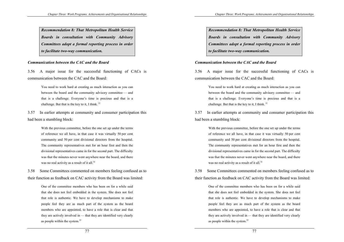*Recommendation 8: That Metropolitan Health Service Boards in consultation with Community Advisory Committees adopt a formal reporting process in order to facilitate two-way communication.* 

#### *Communication between the CAC and the Board*

3.56 A major issue for the successful functioning of CACs is communication between the CAC and the Board:

> You need to work hard at creating as much interaction as you can between the board and the community advisory committee — and that is a challenge. Everyone's time is precious and that is a challenge. But that is the key to it, I think.  $33$

3.57 In earlier attempts at community and consumer participation this had been a stumbling block:

> With the previous committee, before the one set up under the terms of reference we all have, in that case it was virtually 50 per cent community and 50 per cent divisional directors from the hospital. The community representatives met for an hour first and then the divisional representatives came in for the second part. The difficulty was that the minutes never went anywhere near the board, and there was no real activity as a result of it all.<sup>34</sup>

3.58 Some Committees commented on members feeling confused as to their function as feedback on CAC activity from the Board was limited:

> One of the committee members who has been on for a while said that she does not feel embedded in the system. She does not feel that role is authentic. We have to develop mechanisms to make people feel they are as much part of the system as the board members who are appointed, to have a role that is clear and that they are actively involved in — that they are identified very clearly as people within the system.35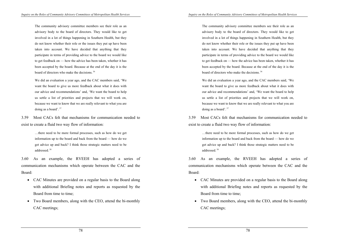The community advisory committee members see their role as an advisory body to the board of directors. They would like to get involved in a lot of things happening in Southern Health, but they do not know whether their role or the issues they put up have been taken into account. We have decided that anything that they participate in terms of providing advice to the board we would like to get feedback on — how the advice has been taken, whether it has been accepted by the board. Because at the end of the day it is the board of directors who make the decisions. 36

We did an evaluation a year ago, and the CAC members said, 'We want the board to give us more feedback about what it does with our advice and recommendations' and, 'We want the board to help us settle a list of priorities and projects that we will work on, because we want to know that we are really relevant to what you are doing as a board'. 37

3.59 Most CACs felt that mechanisms for communication needed to exist to create a fluid two way flow of information:

> …there need to be more formal processes, such as how do we get information up to the board and back from the board — how do we get advice up and back? I think those strategic matters need to be addressed. 38

3.60 As an example, the RVEEH has adopted a series of communication mechanisms which operate between the CAC and the Board:

- CAC Minutes are provided on a regular basis to the Board along with additional Briefing notes and reports as requested by the Board from time to time;
- Two Board members, along with the CEO, attend the bi-monthly CAC meetings;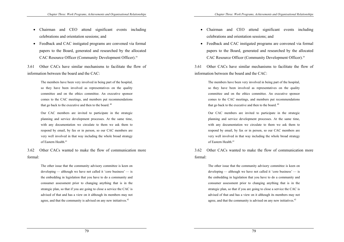- Chairman and CEO attend significant events including celebrations and orientation sessions; and
- Feedback and CAC instigated programs are convened via formal papers to the Board, generated and researched by the allocated CAC Resource Officer (Community Development Officer).39

3.61 Other CACs have similar mechanisms to facilitate the flow of information between the board and the CAC:

> The members have been very involved in being part of the hospital, so they have been involved as representatives on the quality committee and on the ethics committee. An executive sponsor comes to the CAC meetings, and members put recommendations that go back to the executive and then to the board.<sup>40</sup>

> Our CAC members are invited to participate in the strategic planning and service development processes. At the same time, with any documentation we circulate to them we ask them to respond by email, by fax or in person, so our CAC members are very well involved in that way including the whole broad strategy of Eastern Health.<sup>41</sup>

3.62 Other CACs wanted to make the flow of communication more formal:

> The other issue that the community advisory committee is keen on developing — although we have not called it 'core business' — is the embedding in legislation that you have to do a community and consumer assessment prior to changing anything that is in the strategic plan, so that if you are going to close a service the CAC is advised of that and has a view on it although its members may not agree, and that the community is advised on any new initiatives.<sup>42</sup>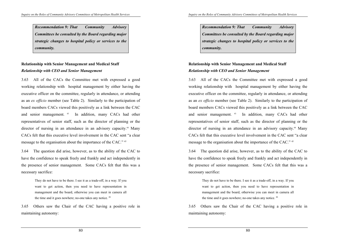*Recommendation 9: That Community Advisory Committees be consulted by the Board regarding major strategic changes to hospital policy or services to the community.* 

# **Relationship with Senior Management and Medical Staff**  *Relationship with CEO and Senior Management*

3.63 All of the CACs the Committee met with expressed a good working relationship with hospital management by either having the executive officer on the committee, regularly in attendance, or attending as an *ex officio* member (see Table 2). Similarly to the participation of board members CACs viewed this positively as a link between the CAC and senior management. 43 In addition, many CACs had other representatives of senior staff, such as the director of planning or the director of nursing in an attendance in an advisory capacity.44 Many CACs felt that this executive level involvement in the CAC sent "a clear message to the organisation about the importance of the CAC." 45

3.64 The question did arise, however, as to the ability of the CAC to have the confidence to speak freely and frankly and act independently in the presence of senior management. Some CACs felt that this was a necessary sacrifice:

> They do not have to be there. I see it as a trade-off, in a way. If you want to get action, then you need to have representation in management and the board, otherwise you can meet in camera all the time and it goes nowhere; no-one takes any notice. 46

3.65 Others saw the Chair of the CAC having a positive role in maintaining autonomy: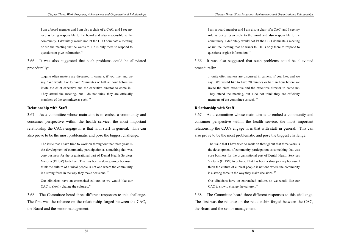I am a board member and I am also a chair of a CAC, and I see my role as being responsible to the board and also responsible to the community. I definitely would not let the CEO dominate a meeting or run the meeting that he wants to. He is only there to respond to questions or give information.47

3.66 It was also suggested that such problems could be alleviated procedurally:

> …quite often matters are discussed in camera, if you like, and we say, 'We would like to have 20 minutes or half an hour before we invite the chief executive and the executive director to come in'. They attend the meeting, but I do not think they are officially members of the committee as such. <sup>48</sup>

### **Relationship with Staff**

3.67 As a committee whose main aim is to embed a community and consumer perspective within the health service, the most important relationship the CACs engage in is that with staff in general. This can also prove to be the most problematic and pose the biggest challenge:

> The issue that I have tried to work on throughout that three years is the development of community participation as something that was core business for the organisational part of Dental Health Services Victoria (DHSV) to deliver. That has been a slow journey because I think the culture of clinical people is not one where the community is a strong force in the way they make decisions. 49

> Our clinicians have an entrenched culture, so we would like our CAC to slowly change the culture...<sup>50</sup>

3.68 The Committee heard three different responses to this challenge. The first was the reliance on the relationship forged between the CAC, the Board and the senior management: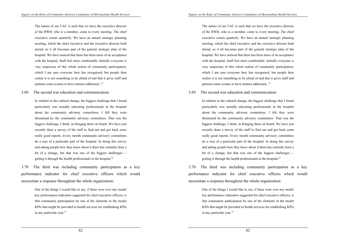The nature of our CAC is such that we have the executive director of the RWH, who is a member, come to every meeting. The chief executive comes quarterly. We have an annual strategic planning meeting, which the chief executive and the executive director both attend, so it all becomes part of the general strategic plan of the hospital. We have noticed that there has been more of an acceptance with the hospital. Staff feel more comfortable. Initially everyone is very suspicious of this whole notion of community participation, which I am sure everyone here has recognised, but people then realise it is not something to be afraid of and that it gives staff and patients some avenue to have matters addressed...<sup>51</sup>

#### 3.69 The second was education and communication:

In relation to the cultural change, the biggest challenge that I found particularly was actually educating professionals in the hospital about the community advisory committees. I felt they were threatened by the community advisory committees. That was the biggest challenge, I think, in bringing them on board. We have just recently done a survey of the staff to find out and got back some really good reports. Every month community advisory committees do a tour of a particular part of the hospital. In doing this survey and asking people how they knew about it there has certainly been a bit of a change, but that was one of the biggest challenges getting it through the health professionals in the hospital. $52$ 

3.70 The third was including community participation as a key performance indicator for chief executive officers which would necessitate a response throughout the whole organisation:

> One of the things I would like to see, if there were ever any model key performance indicators suggested for chief executive officers, is that community participation be one of the elements in the model KPIs that might be provided to health services for establishing KPIs in any particular year.<sup>53</sup>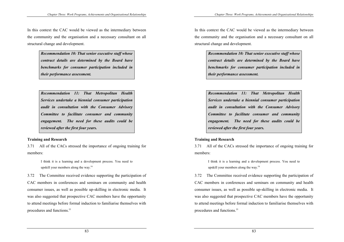In this context the CAC would be viewed as the intermediary between the community and the organisation and a necessary consultant on all structural change and development.

> *Recommendation 10: That senior executive staff whose contract details are determined by the Board have benchmarks for consumer participation included in their performance assessment.*

> *Recommendation 11: That Metropolitan Health Services undertake a biennial consumer participation audit in consultation with the Consumer Advisory Committee to facilitate consumer and community engagement. The need for these audits could be reviewed after the first four years.*

### **Training and Research**

3.71 All of the CACs stressed the importance of ongoing training for members:

> I think it is a learning and a development process. You need to upskill your members along the way.54

3.72 The Committee received evidence supporting the participation of CAC members in conferences and seminars on community and health consumer issues, as well as possible up-skilling in electronic media. It was also suggested that prospective CAC members have the opportunity to attend meetings before formal induction to familiarise themselves with procedures and functions.<sup>55</sup>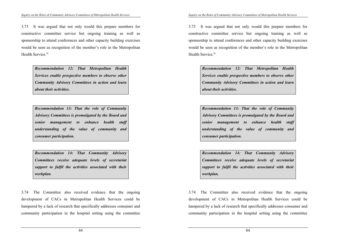3.73 It was argued that not only would this prepare members for constructive committee service but ongoing training as well as sponsorship to attend conferences and other capacity building exercises would be seen as recognition of the member's role in the Metropolitan Health Service<sup>56</sup>

> *Recommendation 12: That Metropolitan Health Services enable prospective members to observe other Community Advisory Committees in action and learn about their activities.*

> *Recommendation 13: That the role of Community Advisory Committees is promulgated by the Board and senior management to enhance health staff understanding of the value of community and consumer participation.*

> *Recommendation 14: That Community Advisory Committees receive adequate levels of secretariat support to fulfil the activities associated with their workplan.*

3.74 The Committee also received evidence that the ongoing development of CACs in Metropolitan Health Services could be hampered by a lack of research that specifically addresses consumer and community participation in the hospital setting using the committee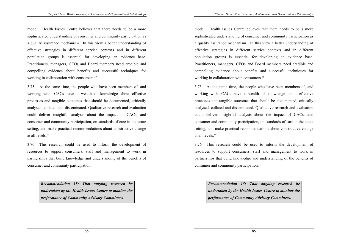model. Health Issues Centre believes that there needs to be a more sophisticated understanding of consumer and community participation as a quality assurance mechanism. In this view a better understanding of effective strategies in different service contexts and in different population groups is essential for developing an evidence base. Practitioners, managers, CEOs and Board members need credible and compelling evidence about benefits and successful techniques for working in collaboration with consumers.<sup>57</sup>

3.75 At the same time, the people who have been members of, and working with, CACs have a wealth of knowledge about effective processes and tangible outcomes that should be documented, critically analysed, collated and disseminated. Qualitative research and evaluation could deliver insightful analysis about the impact of CACs, and consumer and community participation, on standards of care in the acute setting, and make practical recommendations about constructive change at all levels.58

3.76 This research could be used to inform the development of resources to support consumers, staff and management to work in partnerships that build knowledge and understanding of the benefits of consumer and community participation.

> *Recommendation 15: That ongoing research be undertaken by the Health Issues Centre to monitor the performance of Community Advisory Committees.*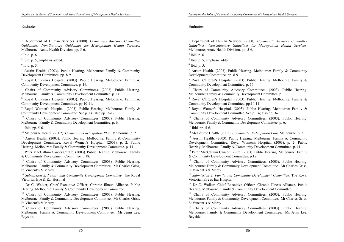### Endnotes

 $\overline{a}$ 

1 Department of Human Services. (2000). *Community Advisory Committee Guidelines: Non-Statutory Guidelines for Metropolitan Health Services*. Melbourne: Acute Health Division. pp. 5-6.

 $<sup>2</sup>$  Ibid. p. 6.</sup>

<sup>3</sup> Ibid. p. 5, emphasis added.

4 Ibid. p. 5.

 $5$  Austin Health. (2003). Public Hearing. Melbourne: Family & Community Development Committee. pp. 8-9.

 $6$  Royal Children's Hospital. (2003). Public Hearing. Melbourne: Family & Community Development Committee. p. 16.

<sup>7</sup> Chairs of Community Advisory Committees. (2003). Public Hearing. Melbourne: Family & Community Development Committee. p. 11.

8 Royal Children's Hospital. (2003). Public Hearing. Melbourne: Family & Community Development Committee. pp.10-11.

<sup>9</sup> Royal Women's Hospital. (2003). Public Hearing. Melbourne: Family & Community Development Committee. See p. 14; also pp 16-17.

<sup>10</sup> Chairs of Community Advisory Committees. (2003). Public Hearing. Melbourne: Family & Community Development Committee. p. 6.

 $11$  Ibid. pp. 5-6.

12 Melbourne Health. (2002). *Community Participation Plan*. Melbourne. p. 2.

<sup>13</sup> Austin Health. (2003). Public Hearing. Melbourne: Family & Community Development Committee, Royal Women's Hospital. (2003), p. 2; Public Hearing. Melbourne: Family & Community Development Committee. p. 11.

<sup>14</sup> Peter MacCallum Cancer Centre. (2003). Public Hearing. Melbourne: Family & Community Development Committee. p.18.

<sup>15</sup> Chairs of Community Advisory Committees. (2003). Public Hearing. Melbourne: Family & Community Development Committee. Mr Charles Griss, St Vincent's & Mercy.

<sup>16</sup> *Submission 2*, *Family and Community Development Committee,* The Royal Victorian Eye & Ear Hospital

<sup>17</sup> Dr C. Walker, Chief Executive Officer, Chronic Illness Alliance. Public Hearing. Melbourne: Family & Community Development Committee.

<sup>18</sup> Chairs of Community Advisory Committees. (2003). Public Hearing. Melbourne: Family & Community Development Committee. Mr Charles Griss, St Vincent's & Mercy.

<sup>19</sup> Chairs of Community Advisory Committees. (2003). Public Hearing. Melbourne: Family & Community Development Committee. Ms Jenni Lee, Bayside.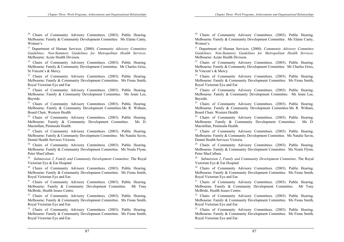<sup>20</sup> Chairs of Community Advisory Committees. (2003). Public Hearing. Melbourne: Family & Community Development Committee. Ms Elaine Canty, Women's.

21 Department of Human Services. (2000). *Community Advisory Committee Guidelines: Non-Statutory Guidelines for Metropolitan Health Services*. Melbourne: Acute Health Division.

<sup>22</sup> Chairs of Community Advisory Committees. (2003). Public Hearing. Melbourne: Family & Community Development Committee. Mr Charles Griss, St Vincent's & Mercy.

<sup>23</sup> Chairs of Community Advisory Committees. (2003). Public Hearing. Melbourne: Family & Community Development Committee. Ms Fiona Smith, Royal Victorian Eye and Ear

<sup>24</sup> Chairs of Community Advisory Committees. (2003). Public Hearing. Melbourne: Family & Community Development Committee. Ms Jenni Lee, Bayside.

<sup>25</sup> Chairs of Community Advisory Committees. (2003). Public Hearing. Melbourne: Family & Community Development Committee.Ms R. Witham, Board Chair, Western Health

<sup>26</sup> Chairs of Community Advisory Committees. (2003). Public Hearing. Melbourne: Family & Community Development Committee. Ms D. Macmillan, Peninsula Health.

<sup>27</sup> Chairs of Community Advisory Committees. (2003). Public Hearing. Melbourne: Family & Community Development Committee. Ms Natalie Savin, Dental Health Services Victoria.

<sup>28</sup> Chairs of Community Advisory Committees. (2003). Public Hearing. Melbourne: Family & Community Development Committee. Ms Noala Flynn, Peter MacCallum.

29 *Submission 2*, *Family and Community Development Committee,* The Royal Victorian Eye & Ear Hospital

<sup>30</sup> Chairs of Community Advisory Committees. (2003). Public Hearing. Melbourne: Family & Community Development Committee. Ms Fiona Smith, Royal Victorian Eye and Ear.

<sup>31</sup> Chairs of Community Advisory Committees. (2003). Public Hearing. Melbourne: Family & Community Development Committee. Mr Tony McBride, Health Issues Centre.

<sup>32</sup> Chairs of Community Advisory Committees. (2003). Public Hearing. Melbourne: Family & Community Development Committee. Ms Fiona Smith, Royal Victorian Eye and Ear.

<sup>33</sup> Chairs of Community Advisory Committees. (2003). Public Hearing. Melbourne: Family & Community Development Committee. Ms Fiona Smith, Royal Victorian Eye and Ear.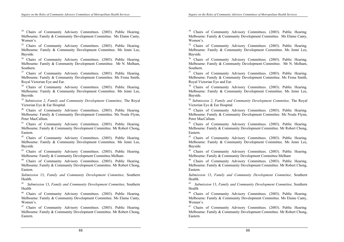<sup>34</sup> Chairs of Community Advisory Committees. (2003). Public Hearing. Melbourne: Family & Community Development Committee. Ms Elaine Canty, Women's.

<sup>35</sup> Chairs of Community Advisory Committees. (2003). Public Hearing. Melbourne: Family & Community Development Committee. Ms Jenni Lee, Bayside.

<sup>36</sup> Chairs of Community Advisory Committees. (2003). Public Hearing. Melbourne: Family & Community Development Committee. Mr N. Melham, Southern.

<sup>37</sup> Chairs of Community Advisory Committees. (2003). Public Hearing. Melbourne: Family & Community Development Committee. Ms Fiona Smith, Royal Victorian Eye and Ear.

<sup>38</sup> Chairs of Community Advisory Committees. (2003). Public Hearing. Melbourne: Family & Community Development Committee. Ms Jenni Lee, Bayside.

<sup>39</sup> *Submission 2*, *Family and Community Development Committee,* The Royal Victorian Eye & Ear Hospital

<sup>40</sup> Chairs of Community Advisory Committees. (2003). Public Hearing. Melbourne: Family & Community Development Committee. Ms Noala Flynn, Peter MacCallum.

<sup>41</sup> Chairs of Community Advisory Committees. (2003). Public Hearing. Melbourne: Family & Community Development Committee. Mr Robert Chong, Eastern.

<sup>42</sup> Chairs of Community Advisory Committees. (2003). Public Hearing. Melbourne: Family & Community Development Committee. Ms Jenni Lee, Bayside.

<sup>43</sup> Chairs of Community Advisory Committees. (2003). Public Hearing. Melbourne: Family & Community Development Committee.Melham

44 Chairs of Community Advisory Committees. (2003). Public Hearing. Melbourne: Family & Community Development Committee. Mr Robert Chong, Eastern.

*Submission* 13, *Family and Community Development Committee,* Southern Health.

45 *Submission* 13, *Family and Community Development Committee,* Southern Health

46 Chairs of Community Advisory Committees. (2003). Public Hearing. Melbourne: Family & Community Development Committee. Ms Elaine Canty, Women's.

 $47$  Chairs of Community Advisory Committees. (2003). Public Hearing. Melbourne: Family & Community Development Committee. Mr Robert Chong, Eastern.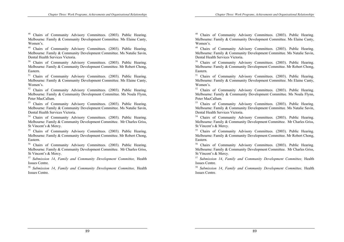48 Chairs of Community Advisory Committees. (2003). Public Hearing. Melbourne: Family & Community Development Committee. Ms Elaine Canty, Women's.

49 Chairs of Community Advisory Committees. (2003). Public Hearing. Melbourne: Family & Community Development Committee. Ms Natalie Savin, Dental Health Services Victoria.

<sup>50</sup> Chairs of Community Advisory Committees. (2003). Public Hearing. Melbourne: Family & Community Development Committee. Mr Robert Chong, Eastern.

<sup>51</sup> Chairs of Community Advisory Committees. (2003). Public Hearing. Melbourne: Family & Community Development Committee. Ms Elaine Canty, Women's.

<sup>52</sup> Chairs of Community Advisory Committees. (2003). Public Hearing. Melbourne: Family & Community Development Committee. Ms Noala Flynn, Peter MacCallum.

<sup>53</sup> Chairs of Community Advisory Committees. (2003). Public Hearing. Melbourne: Family & Community Development Committee. Ms Natalie Savin, Dental Health Services Victoria.

54 Chairs of Community Advisory Committees. (2003). Public Hearing. Melbourne: Family & Community Development Committee. Mr Charles Griss, St Vincent's & Mercy.

<sup>55</sup> Chairs of Community Advisory Committees. (2003). Public Hearing. Melbourne: Family & Community Development Committee. Mr Robert Chong, Eastern.

<sup>56</sup> Chairs of Community Advisory Committees. (2003). Public Hearing. Melbourne: Family & Community Development Committee. Mr Charles Griss, St Vincent's & Mercy.

<sup>57</sup> *Submission 14*, *Family and Community Development Committee,* Health Issues Centre.

<sup>58</sup> *Submission 14*, *Family and Community Development Committee,* Health Issues Centre.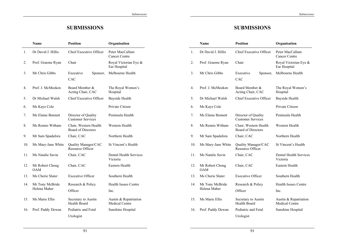# **SUBMISSIONS**

|     | <b>Name</b>                   | <b>Position</b>                                    | Organisation                                   |
|-----|-------------------------------|----------------------------------------------------|------------------------------------------------|
| 1.  | Dr David J. Hillis            | <b>Chief Executive Officer</b>                     | Peter MacCallum<br><b>Cancer Centre</b>        |
| 2.  | Prof. Graeme Ryan             | Chair                                              | Royal Victorian Eye &<br>Ear Hospital          |
| 3.  | Mr Chris Gibbs                | Executive<br>Sponsor,<br>CAC                       | Melbourne Health                               |
| 4.  | Prof. J. McMeeken             | Board Member &<br>Acting Chair, CAC                | The Royal Women's<br>Hospital                  |
| 5.  | Dr Michael Walsh              | <b>Chief Executive Officer</b>                     | Bayside Health                                 |
| 6.  | Ms Kaye Cole                  |                                                    | Private Citizen                                |
| 7.  | <b>Ms Elaine Bennett</b>      | Director of Quality<br><b>Customer Services</b>    | Peninsula Health                               |
| 8.  | Ms Rennis Witham              | Chair, Western Health<br><b>Board of Directors</b> | Western Health                                 |
| 9.  | Mr Sam Spadafora              | Chair, CAC                                         | Northern Health                                |
| 10. | Ms Mary-Jane White            | Quality Manager/CAC<br><b>Resource Officer</b>     | St Vincent's Health                            |
| 11. | Ms Natalie Savin              | Chair, CAC                                         | <b>Dental Health Services</b><br>Victoria      |
| 12. | Mr Robert Chong<br><b>OAM</b> | Chair, CAC                                         | Eastern Health                                 |
| 13. | Ms Cherie Slater              | <b>Executive Officer</b>                           | Southern Health                                |
| 14. | Mr Tony McBride               | Research & Policy                                  | <b>Health Issues Centre</b>                    |
|     | Helena Maher                  | Officer                                            | Inc.                                           |
| 15. | Ms Marie Ellis                | Secretary to Austin<br>Health Board                | Austin & Repatriation<br><b>Medical Centre</b> |
| 16. | Prof. Paddy Dewan             | Pediatric and Fetal<br>Urologist                   | Sunshine Hospital                              |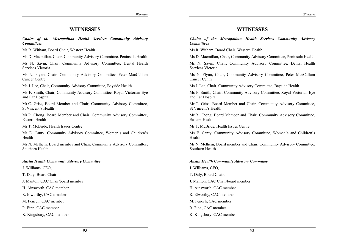# **WITNESSES**

#### *Chairs of the Metropolitan Health Services Community Advisory Committees*

Ms R. Witham, Board Chair, Western Health

Ms D. Macmillan, Chair, Community Advisory Committee, Peninsula Health

Ms N. Savin, Chair, Community Advisory Committee, Dental Health Services Victoria

Ms N. Flynn, Chair, Community Advisory Committee, Peter MacCallum Cancer Centre

Ms J. Lee, Chair, Community Advisory Committee, Bayside Health

Ms F. Smith, Chair, Community Advisory Committee, Royal Victorian Eye and Ear Hospital

Mr C. Griss, Board Member and Chair, Community Advisory Committee, St Vincent's Health

Mr R. Chong, Board Member and Chair, Community Advisory Committee, Eastern Health

Mr T. McBride, Health Issues Centre

Ms E. Canty, Community Advisory Committee, Women's and Children's Health

Mr N. Melhem, Board member and Chair, Community Advisory Committee, Southern Health

#### *Austin Health Community Advisory Committee*

J. Williams, CEO,

T. Daly, Board Chair,

J. Manton, CAC Chair/board member

H. Ainsworth, CAC member

R. Elworthy, CAC member

M. Fenech, CAC member

R. Finn, CAC member

K. Kingsbury, CAC member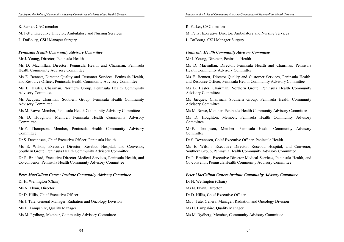R. Parker, CAC member

M. Petty, Executive Director, Ambulatory and Nursing Services

L. DuBourg, CSU Manager Surgery

### *Peninsula Health Community Advisory Committee*

Mr J. Young, Director, Peninsula Health

Ms D. Macmillan, Director, Peninsula Health and Chairman, Peninsula Health Community Advisory Committee

Ms E. Bennett, Director Quality and Customer Services, Peninsula Health, and Resource Officer, Peninsula Health Community Advisory Committee

Ms B. Hasler, Chairman, Northern Group, Peninsula Health Community Advisory Committee

Ms Jacques, Chairman, Southern Group, Peninsula Health Community Advisory Committee

Ms M. Rowe, Member, Peninsula Health Community Advisory Committee

Ms D. Houghton, Member, Peninsula Health Community Advisory **Committee** 

Mr F. Thompson, Member, Peninsula Health Community Advisory Committee

Dr S. Devanesen, Chief Executive Officer, Peninsula Health

Ms E. Wilson, Executive Director, Rosebud Hospital, and Convenor, Southern Group, Peninsula Health Community Advisory Committee

Dr P. Bradford, Executive Director Medical Services, Peninsula Health, and Co-convenor, Peninsula Health Community Advisory Committee

### *Peter MacCallum Cancer Institute Community Advisory Committee*

Dr H. Wellington (Chair)

Ms N. Flynn, Director

Dr D. Hillis, Chief Executive Officer

Ms J. Tate, General Manager, Radiation and Oncology Division

Ms H. Lampshire, Quality Manager

Ms M. Rydberg, Member, Community Advisory Committee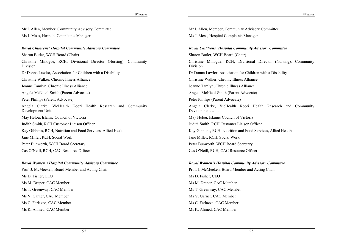Mr I. Allen, Member, Community Advisory Committee

Ms J. Moss, Hospital Complaints Manager

### *Royal Childrens' Hospital Community Advisory Committee*

Sharon Butler, WCH Board (Chair)

Christine Minogue, RCH, Divisional Director (Nursing), Community Division

Dr Donna Lawlor, Association for Children with a Disability

Christine Walker, Chronic Illness Alliance

Joanne Tamlyn, Chronic Illness Alliance

Angela McNicol-Smith (Parent Advocate)

Peter Phillips (Parent Advocate)

Angela Clarke, VicHealth Koori Health Research and Community Development Unit

May Helou, Islamic Council of Victoria

Judith Smith, RCH Customer Liaison Officer

Kay Gibbons, RCH, Nutrition and Food Services, Allied Health

Jane Miller, RCH, Social Work

Peter Bunworth, WCH Board Secretary

Cas O'Neill, RCH, CAC Resource Officer

### *Royal Women's Hospital Community Advisory Committee*

Prof. J. McMeeken, Board Member and Acting Chair Ms D. Fisher, CEO Ms M. Draper, CAC Member Ms T. Greenway, CAC Member

Ms V. Garner, CAC Member

Ms C. Ferlazzo, CAC Member

Ms K. Ahmed, CAC Member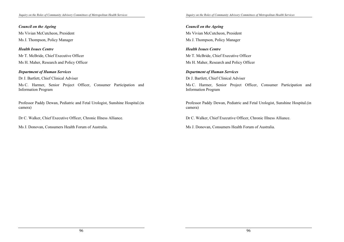# *Council on the Ageing*

Ms Vivian McCutcheon, President

Ms J. Thompson, Policy Manager

# *Health Issues Centre*

Mr T. McBride, Chief Executive Officer Ms H. Maher, Research and Policy Officer

# *Department of Human Services*

Dr J. Bartlett, Chief Clinical Adviser

Ms C. Harmer, Senior Project Officer, Consumer Participation and Information Program

Professor Paddy Dewan, Pediatric and Fetal Urologist, Sunshine Hospital.(in camera)

Dr C. Walker, Chief Executive Officer, Chronic Illness Alliance.

Ms J. Donovan, Consumers Health Forum of Australia.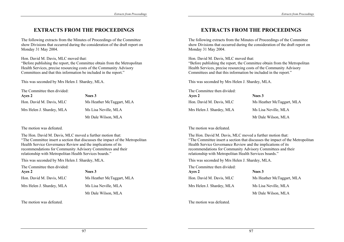# **EXTRACTS FROM THE PROCEEDINGS**

The following extracts from the Minutes of Proceedings of the Committee show Divisions that occurred during the consideration of the draft report on Monday 31 May 2004.

Hon. David M. Davis, MLC moved that:

"Before publishing the report, the Committee obtain from the Metropolitan Health Services, precise resourcing costs of the Community Advisory Committees and that this information be included in the report."

This was seconded by Mrs Helen J. Shardey, MLA.

The Committee then divided:

| Ayes 2                    | Noes 3                    |
|---------------------------|---------------------------|
| Hon. David M. Davis, MLC  | Ms Heather McTaggart, MLA |
| Mrs Helen J. Shardey, MLA | Ms Lisa Neville, MLA      |
|                           | Mr Dale Wilson, MLA       |

The motion was defeated.

The Hon. David M. Davis, MLC moved a further motion that: "The Committee insert a section that discusses the impact of the Metropolitan Health Service Governance Review and the implications of its recommendations for Community Advisory Committees and their relationship with Metropolitan Health Services boards."

This was seconded by Mrs Helen J. Shardey, MLA.

The Committee then divided:

| Ayes 2                    | Noes 3                    |
|---------------------------|---------------------------|
| Hon. David M. Davis, MLC  | Ms Heather McTaggart, MLA |
| Mrs Helen J. Shardey, MLA | Ms Lisa Neville, MLA      |
|                           | Mr Dale Wilson, MLA       |

The motion was defeated.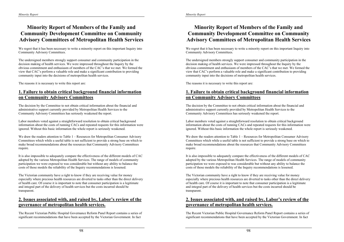# **Minority Report of Members of the Family and Community Development Committee on Community Advisory Committees of Metropolitan Health Services**

We regret that it has been necessary to write a minority report on this important Inquiry into Community Advisory Committees.

The undersigned members strongly support consumer and community participation in the decision making of health services. We were impressed throughout the Inquiry by the obvious commitment and enthusiasm of members of the CAC's that we met. We formed the view that CAC's perform a valuable role and make a significant contribution to providing community input into the decisions of metropolitan health services.

The reasons it is necessary to write this report are:

# **1. Failure to obtain critical background financial information on Community Advisory Committees**

The decision by the Committee to not obtain critical information about the financial and administrative support currently provided by Metropolitan Health Services to the Community Advisory Committees has seriously weakened the report.

Labor members voted against a straightforward resolution to obtain critical background information about the costs of running CACs and repeated requests for this information were ignored. Without this basic information the whole report is seriously weakened.

We draw the readers attention to Table 1 – Resources for Metropolitan Consumer Advisory Committees which while a useful table is not sufficient to provide a strong base on which to make broad recommendations about the resources that Community Advisory Committees require.

It is also impossible to adequately compare the effectiveness of the different models of CAC adopted by the various Metropolitan Health Services. The range of models of community participation we were exposed to was considerable but without any ability to balance the costs of those models the reliability of the Inquiry recommendations is lessened.

The Victorian community have a right to know if they are receiving value for money especially where precious health resources are diverted to tasks other than the direct delivery of health care. Of course it is important to note that consumer participation is a legitimate and integral part of the delivery of health services but the costs incurred should be transparent.

# **2. Issues associated with, and raised by, Labor's review of the governance of metropolitan health services.**

The Recent Victorian Public Hospital Governance Reform Panel Report contains a series of significant recommendations that have been accepted by the Victorian Government. In fact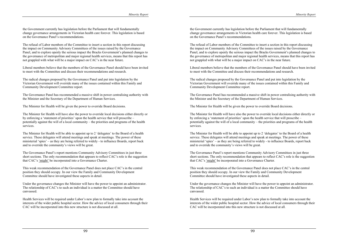the Government currently has legislation before the Parliament that will fundamentally change governance arrangements in Victorian health care forever. This legislation is based on the Governance Panel's recommendations.

The refusal of Labor members of the Committee to insert a section in this report discussing the impact on Community Advisory Committees of the issues raised by the Governance Panel, and to explore openly the serious impact the Bracks Government's planned changes to the governance of metropolitan and major regional health services, means that this report has not grappled with what will be a major impact on CAC's in the near future.

Liberal members believe that the members of the Governance Panel should have been invited to meet with the Committee and discuss their recommendations and research.

The radical changes proposed by the Governance Panel and put into legislation by the Victorian Government will override many of the issues contained within this Family and Community Development Committee report.

The Governance Panel has recommended a massive shift in power centralising authority with the Minister and the Secretary of the Department of Human Services.

The Minister for Health will be given the power to override Board decisions.

The Minister for Health will have also the power to override local decisions either directly or by enforcing a 'statement of priorities' upon the health service that will proscribe – potentially against the will of a local community – the priorities and programs of the health services.

The Minister for Health will be able to appoint up to 2 'delegates' to the Board of a health service. These delegates will attend meetings and speak at meetings. The power of these ministerial 'spies' – as they are being referred to widely - to influence Boards, report back and to override the community's views will be great.

The Governance Panel's report mentions Community Advisory Committees in just three short sections. The only recommendation that appears to reflect CAC's role is the suggestion that CAC's 'might' be incorporated into a Governance Charter.

This weak recommendation of the Governance Panel does not place CAC's in the central position they should occupy. In our view the Family and Community Development Committee should have investigated these aspects in detail.

Under the governance changes the Minister will have the power to appoint an administrator. The relationship of CAC's to such an individual is a matter the Committee should have canvassed.

Health Services will be required under Labor's new plan to formally take into account the interests of the wider public hospital sector. How the advice of local consumers through their CAC will be incorporated into this new structure is not discussed at all.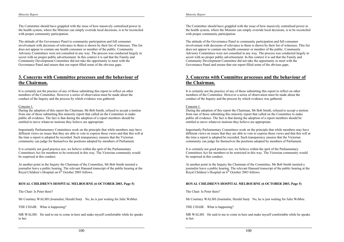The Committee should have grappled with the issue of how massively centralised power in the health system, where the Minister can simply override local decisions, is to be reconciled with proper community participation.

The attitude of the Governance Panel to community participation and full consumer involvement with decisions of relevance to them is shown by their list of witnesses. This list does not appear to contain one health consumer or member of the public. Community Advisory Committees were not consulted in any way. The process was conducted largely in secret with no proper public advertisement. In this context it is sad that the Family and Community Development Committee did not take the opportunity to meet with the Governance Panel and ensure that our report filled some of the obvious gaps.

### **3. Concerns with Committee processes and the behaviour of the Chairman.**

It is certainly not the practice of any of those submitting this report to reflect on other members of the Committee. However a series of observation must be made about the conduct of the Inquiry and the process by which evidence was gathered.

#### Concern 1.

During the adoption of this report the Chairman, Mr Bob Smith, refused to accept a motion from one of those submitting this minority report that called on the Committee to make public all evidence. The fact is that during the adoption of a report members should be entitled to move whatever motions they believe are appropriate.

Importantly Parliamentary Committees work on the principle that while members may have different views on issues that they are able to vote to express those views and that this will at the time a report is adopted be recorded. Such transparency ensures that the Victorian community can judge for themselves the positions adopted by members of Parliament.

It is certainly not good practice nor, we believe within the sprit of the Parliamentary Committees Act for members to be restricted in this way. The Victorian community would be surprised at this conduct.

At another point in the Inquiry the Chairman of the Committee, Mr Bob Smith insisted a journalist leave a public hearing. The relevant Hansard transcript of the public hearing at the Royal Children's Hospital on  $6<sup>th</sup>$  October 2003 follows.

#### **ROYAL CHILDREN'S HOSPITAL MELBOURNE (6 OCTOBER 2003, Page 5)**

The Chair: Is Peter there?

Mr Courtney WALSH (Journalist, Herald Sun**)**: No, he is just waiting for Julie Webber.

THE CHAIR: What is happening?

MR WALSH: He said to me to come in here and make myself comfortable while he speaks to her.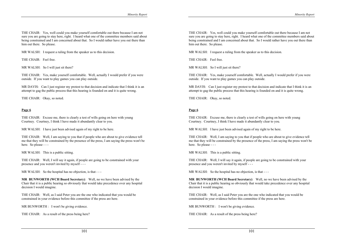THE CHAIR: Yes, well could you make yourself comfortable out there because I am not sure you are going to stay here, right. I heard what one of the committee members said about being constrained and I am concerned about that. So I would rather have you out there than him out there. So please.

MR WALSH: I request a ruling from the speaker as to this decision.

THE CHAIR: Feel free.

MR WALSH: So I will just sit there?

THE CHAIR: Yes, make yourself comfortable. Well, actually I would prefer if you were outside. If you want to play games you can play outside.

MR DAVIS: Can I just register my protest to that decision and indicate that I think it is an attempt to gag the public process that this hearing is founded on and it is quite wrong.

THE CHAIR: Okay, so noted.

#### **Page 6**

THE CHAIR: Excuse me, there is clearly a test of wills going on here with young Courtney. Courtney, I think I have made it abundantly clear to you.

MR WALSH: I have just been advised again of my right to be here.

THE CHAIR: Well, I am saying to you that if people who are about to give evidence tell me that they will be constrained by the presence of the press, I am saying the press won't be here. So please - - -

MR WALSH: This is a public sitting.

THE CHAIR: Well, I will say it again, if people are going to be constrained with your presence and you weren't invited by myself - - -

MR WALSH: So the hospital has no objection, is that - - -

**MR BUNWORTH (WCH Board Secretary)**: Well, no we have been advised by the Chair that it is a public hearing so obviously that would take precedence over any hospital decision I would imagine.

THE CHAIR: Well, as I said Peter you are the one who indicated that you would be constrained in your evidence before this committee if the press are here.

MR BUNWORTH : I won't be giving evidence.

THE CHAIR: As a result of the press being here?